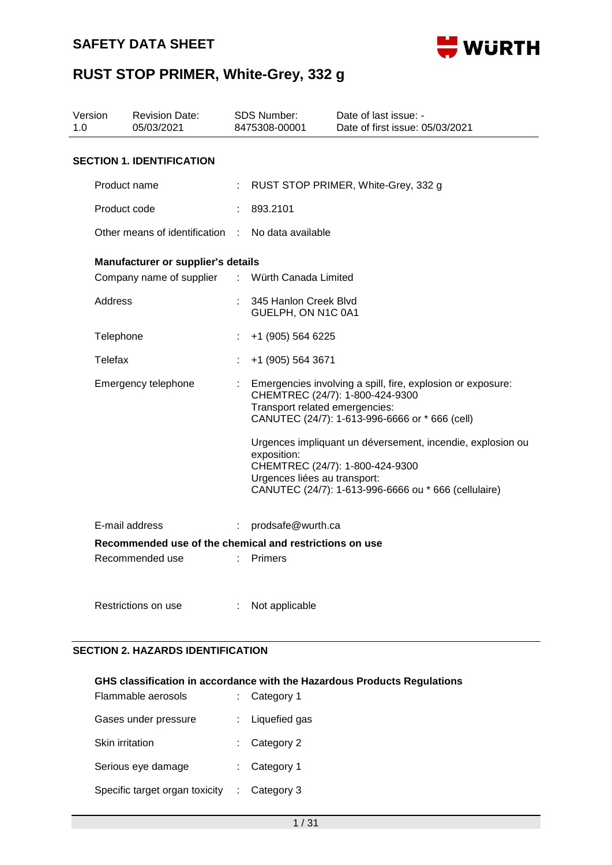

| Version<br>1.0 |                | <b>Revision Date:</b><br>05/03/2021                     |                           | <b>SDS Number:</b><br>8475308-00001         | Date of last issue: -<br>Date of first issue: 05/03/2021                                                                                              |
|----------------|----------------|---------------------------------------------------------|---------------------------|---------------------------------------------|-------------------------------------------------------------------------------------------------------------------------------------------------------|
|                |                | <b>SECTION 1. IDENTIFICATION</b>                        |                           |                                             |                                                                                                                                                       |
|                | Product name   |                                                         |                           |                                             | RUST STOP PRIMER, White-Grey, 332 g                                                                                                                   |
|                | Product code   |                                                         |                           | 893.2101                                    |                                                                                                                                                       |
|                |                | Other means of identification                           | <b>Contract</b>           | No data available                           |                                                                                                                                                       |
|                |                | Manufacturer or supplier's details                      |                           |                                             |                                                                                                                                                       |
|                |                | Company name of supplier                                | $\mathbb{R}^{\mathbb{Z}}$ | Würth Canada Limited                        |                                                                                                                                                       |
|                | <b>Address</b> |                                                         |                           | 345 Hanlon Creek Blvd<br>GUELPH, ON N1C 0A1 |                                                                                                                                                       |
|                | Telephone      |                                                         |                           | +1 (905) 564 6225                           |                                                                                                                                                       |
|                | Telefax        |                                                         |                           | +1 (905) 564 3671                           |                                                                                                                                                       |
|                |                | Emergency telephone                                     |                           | Transport related emergencies:              | Emergencies involving a spill, fire, explosion or exposure:<br>CHEMTREC (24/7): 1-800-424-9300<br>CANUTEC (24/7): 1-613-996-6666 or * 666 (cell)      |
|                |                |                                                         |                           | exposition:<br>Urgences liées au transport: | Urgences impliquant un déversement, incendie, explosion ou<br>CHEMTREC (24/7): 1-800-424-9300<br>CANUTEC (24/7): 1-613-996-6666 ou * 666 (cellulaire) |
|                |                | E-mail address                                          | ÷                         | prodsafe@wurth.ca                           |                                                                                                                                                       |
|                |                | Recommended use of the chemical and restrictions on use |                           |                                             |                                                                                                                                                       |
|                |                | Recommended use                                         |                           | <b>Primers</b>                              |                                                                                                                                                       |
|                |                | Restrictions on use                                     |                           | Not applicable                              |                                                                                                                                                       |

#### **SECTION 2. HAZARDS IDENTIFICATION**

#### **GHS classification in accordance with the Hazardous Products Regulations**

| Flammable aerosols             | $:$ Category 1  |
|--------------------------------|-----------------|
| Gases under pressure           | : Liquefied gas |
| Skin irritation                | $:$ Category 2  |
| Serious eye damage             | $:$ Category 1  |
| Specific target organ toxicity | Category 3      |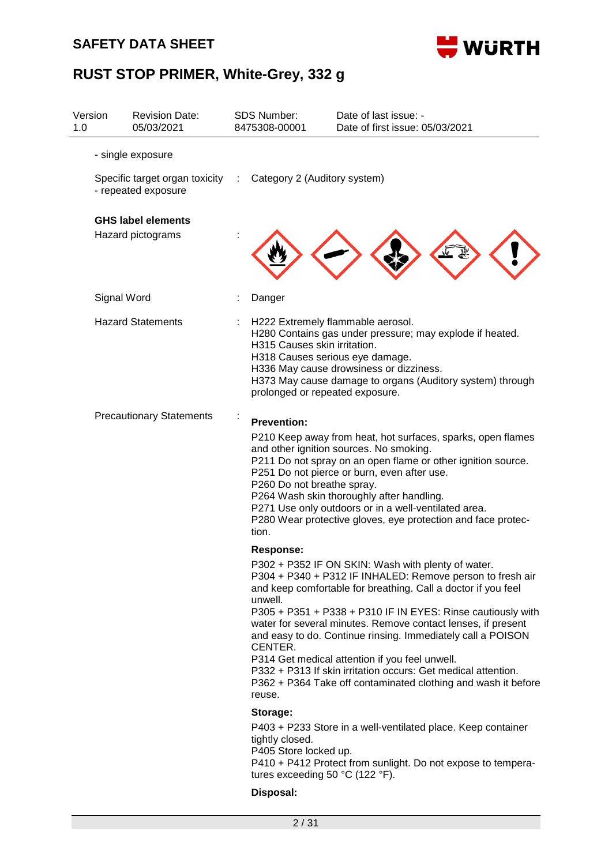### **SAFETY DATA SHEET**



| 1.0 | Version     | <b>Revision Date:</b><br>05/03/2021                     | <b>SDS Number:</b><br>8475308-00001                                         | Date of last issue: -<br>Date of first issue: 05/03/2021                                                                                                                                                                                                                                                                                                                                                                                                                                                                                                           |
|-----|-------------|---------------------------------------------------------|-----------------------------------------------------------------------------|--------------------------------------------------------------------------------------------------------------------------------------------------------------------------------------------------------------------------------------------------------------------------------------------------------------------------------------------------------------------------------------------------------------------------------------------------------------------------------------------------------------------------------------------------------------------|
|     |             | - single exposure                                       |                                                                             |                                                                                                                                                                                                                                                                                                                                                                                                                                                                                                                                                                    |
|     |             | Specific target organ toxicity :<br>- repeated exposure | Category 2 (Auditory system)                                                |                                                                                                                                                                                                                                                                                                                                                                                                                                                                                                                                                                    |
|     |             | <b>GHS label elements</b>                               |                                                                             |                                                                                                                                                                                                                                                                                                                                                                                                                                                                                                                                                                    |
|     |             | Hazard pictograms                                       |                                                                             |                                                                                                                                                                                                                                                                                                                                                                                                                                                                                                                                                                    |
|     | Signal Word |                                                         | Danger                                                                      |                                                                                                                                                                                                                                                                                                                                                                                                                                                                                                                                                                    |
|     |             | <b>Hazard Statements</b>                                | H315 Causes skin irritation.<br>prolonged or repeated exposure.             | H222 Extremely flammable aerosol.<br>H280 Contains gas under pressure; may explode if heated.<br>H318 Causes serious eye damage.<br>H336 May cause drowsiness or dizziness.<br>H373 May cause damage to organs (Auditory system) through                                                                                                                                                                                                                                                                                                                           |
|     |             | <b>Precautionary Statements</b>                         | <b>Prevention:</b><br>P260 Do not breathe spray.<br>tion.                   | P210 Keep away from heat, hot surfaces, sparks, open flames<br>and other ignition sources. No smoking.<br>P211 Do not spray on an open flame or other ignition source.<br>P251 Do not pierce or burn, even after use.<br>P264 Wash skin thoroughly after handling.<br>P271 Use only outdoors or in a well-ventilated area.<br>P280 Wear protective gloves, eye protection and face protec-                                                                                                                                                                         |
|     |             |                                                         | <b>Response:</b><br>unwell.<br>CENTER.<br>reuse.                            | P302 + P352 IF ON SKIN: Wash with plenty of water.<br>P304 + P340 + P312 IF INHALED: Remove person to fresh air<br>and keep comfortable for breathing. Call a doctor if you feel<br>P305 + P351 + P338 + P310 IF IN EYES: Rinse cautiously with<br>water for several minutes. Remove contact lenses, if present<br>and easy to do. Continue rinsing. Immediately call a POISON<br>P314 Get medical attention if you feel unwell.<br>P332 + P313 If skin irritation occurs: Get medical attention.<br>P362 + P364 Take off contaminated clothing and wash it before |
|     |             |                                                         | Storage:                                                                    |                                                                                                                                                                                                                                                                                                                                                                                                                                                                                                                                                                    |
|     |             |                                                         | tightly closed.<br>P405 Store locked up.<br>tures exceeding 50 °C (122 °F). | P403 + P233 Store in a well-ventilated place. Keep container<br>P410 + P412 Protect from sunlight. Do not expose to tempera-                                                                                                                                                                                                                                                                                                                                                                                                                                       |
|     |             |                                                         | Disposal:                                                                   |                                                                                                                                                                                                                                                                                                                                                                                                                                                                                                                                                                    |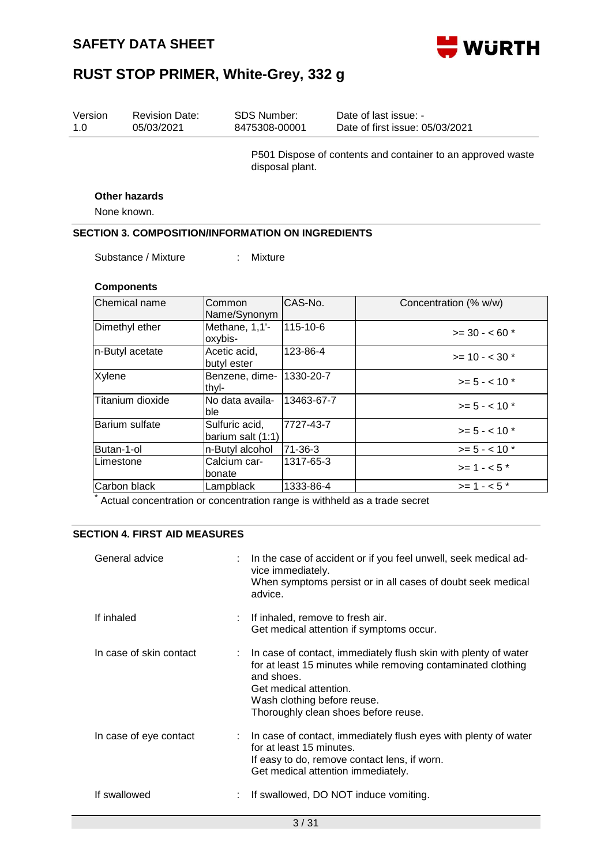

| Version<br>1.0 | <b>Revision Date:</b><br>05/03/2021                      | <b>SDS Number:</b><br>8475308-00001 |                                  | Date of last issue: -<br>Date of first issue: 05/03/2021                                                                        |
|----------------|----------------------------------------------------------|-------------------------------------|----------------------------------|---------------------------------------------------------------------------------------------------------------------------------|
|                |                                                          |                                     | disposal plant.                  | P501 Dispose of contents and container to an approved waste                                                                     |
|                | <b>Other hazards</b>                                     |                                     |                                  |                                                                                                                                 |
|                | None known.                                              |                                     |                                  |                                                                                                                                 |
|                | <b>SECTION 3. COMPOSITION/INFORMATION ON INGREDIENTS</b> |                                     |                                  |                                                                                                                                 |
|                | Substance / Mixture                                      | Mixture<br>÷                        |                                  |                                                                                                                                 |
|                | <b>Components</b>                                        |                                     |                                  |                                                                                                                                 |
|                | Chemical name                                            | Common<br>Name/Synonym              | CAS-No.                          | Concentration (% w/w)                                                                                                           |
|                | Dimethyl ether                                           | Methane, 1,1'-<br>oxybis-           | 115-10-6                         | $>=$ 30 - < 60 $*$                                                                                                              |
|                | n-Butyl acetate                                          | Acetic acid,<br>butyl ester         | 123-86-4                         | $>= 10 - < 30$ *                                                                                                                |
| Xylene         |                                                          | Benzene, dime-<br>thyl-             | 1330-20-7                        | $>= 5 - < 10$ *                                                                                                                 |
|                | Titanium dioxide                                         | No data availa-<br>ble              | 13463-67-7                       | $>= 5 - < 10$ *                                                                                                                 |
|                | Barium sulfate                                           | Sulfuric acid,<br>barium salt (1:1) | 7727-43-7                        | $>= 5 - < 10$ *                                                                                                                 |
|                | Butan-1-ol                                               | n-Butyl alcohol                     | 71-36-3                          | $>= 5 - < 10$ *                                                                                                                 |
|                | Limestone                                                | Calcium car-<br>bonate              | 1317-65-3                        | $>= 1 - 5$ *                                                                                                                    |
|                | Carbon black                                             | Lampblack                           | 1333-86-4                        | $>= 1 - 5$ *                                                                                                                    |
|                | <b>SECTION 4. FIRST AID MEASURES</b>                     |                                     |                                  | Actual concentration or concentration range is withheld as a trade secret                                                       |
|                | General advice                                           | advice.                             | vice immediately.                | In the case of accident or if you feel unwell, seek medical ad-<br>When symptoms persist or in all cases of doubt seek medical  |
|                | If inhaled                                               |                                     | If inhaled, remove to fresh air. | Get medical attention if symptoms occur.                                                                                        |
|                | In case of skin contact                                  | and shoes.                          |                                  | In case of contact, immediately flush skin with plenty of water<br>for at least 15 minutes while removing contaminated clothing |

If swallowed : If swallowed, DO NOT induce vomiting.

Get medical attention. Wash clothing before reuse.

In case of eye contact : In case of contact, immediately flush eyes with plenty of water for at least 15 minutes.

Thoroughly clean shoes before reuse.

Get medical attention immediately.

If easy to do, remove contact lens, if worn.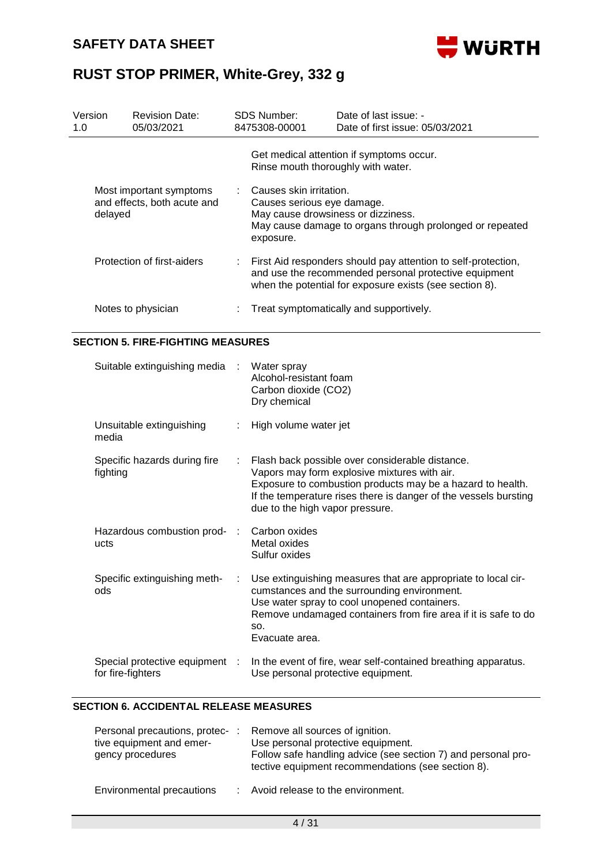

| Version<br>1.0 |                            | <b>Revision Date:</b><br>05/03/2021                    |  | <b>SDS Number:</b><br>8475308-00001                                                                                                                                               | Date of last issue: -<br>Date of first issue: 05/03/2021                                       |  |  |  |
|----------------|----------------------------|--------------------------------------------------------|--|-----------------------------------------------------------------------------------------------------------------------------------------------------------------------------------|------------------------------------------------------------------------------------------------|--|--|--|
|                |                            |                                                        |  |                                                                                                                                                                                   | Get medical attention if symptoms occur.<br>Rinse mouth thoroughly with water.                 |  |  |  |
|                | delayed                    | Most important symptoms<br>and effects, both acute and |  | Causes skin irritation.<br>Causes serious eye damage.<br>exposure.                                                                                                                | May cause drowsiness or dizziness.<br>May cause damage to organs through prolonged or repeated |  |  |  |
|                | Protection of first-aiders |                                                        |  | First Aid responders should pay attention to self-protection,<br>and use the recommended personal protective equipment<br>when the potential for exposure exists (see section 8). |                                                                                                |  |  |  |
|                | Notes to physician         |                                                        |  | Treat symptomatically and supportively.                                                                                                                                           |                                                                                                |  |  |  |
|                |                            | <b>SECTION 5. FIRE-FIGHTING MEASURES</b>               |  |                                                                                                                                                                                   |                                                                                                |  |  |  |
|                |                            | Suitable extinguishing media :                         |  | Water spray<br>Alcohol-resistant foam<br>Carbon dioxide (CO2)<br>Dry chemical                                                                                                     |                                                                                                |  |  |  |
|                |                            | Unsuitable extinguishing                               |  | High volume water jet                                                                                                                                                             |                                                                                                |  |  |  |

| media                                               |    |                                                                                                                                                                                                                                                                      |
|-----------------------------------------------------|----|----------------------------------------------------------------------------------------------------------------------------------------------------------------------------------------------------------------------------------------------------------------------|
| Specific hazards during fire<br>fighting            | ÷. | Flash back possible over considerable distance.<br>Vapors may form explosive mixtures with air.<br>Exposure to combustion products may be a hazard to health.<br>If the temperature rises there is danger of the vessels bursting<br>due to the high vapor pressure. |
| Hazardous combustion prod-<br>ucts                  |    | Carbon oxides<br>Metal oxides<br>Sulfur oxides                                                                                                                                                                                                                       |
| Specific extinguishing meth-<br>ods                 | ÷. | Use extinguishing measures that are appropriate to local cir-<br>cumstances and the surrounding environment.<br>Use water spray to cool unopened containers.<br>Remove undamaged containers from fire area if it is safe to do<br>SO.<br>Evacuate area.              |
| Special protective equipment :<br>for fire-fighters |    | In the event of fire, wear self-contained breathing apparatus.<br>Use personal protective equipment.                                                                                                                                                                 |

#### **SECTION 6. ACCIDENTAL RELEASE MEASURES**

| Personal precautions, protec-:<br>tive equipment and emer-<br>gency procedures | Remove all sources of ignition.<br>Use personal protective equipment.<br>Follow safe handling advice (see section 7) and personal pro-<br>tective equipment recommendations (see section 8). |
|--------------------------------------------------------------------------------|----------------------------------------------------------------------------------------------------------------------------------------------------------------------------------------------|
| Environmental precautions                                                      | : Avoid release to the environment.                                                                                                                                                          |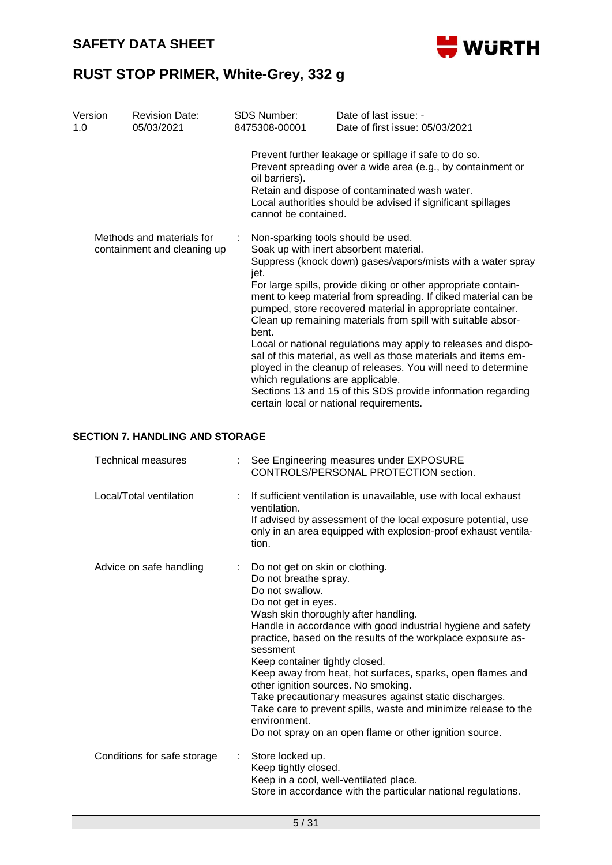

| Version<br>1.0 | <b>Revision Date:</b><br>05/03/2021                      |   | <b>SDS Number:</b><br>8475308-00001                                                                                                                                                                     | Date of last issue: -<br>Date of first issue: 05/03/2021                                                                                                                                                                                                                                                                                                                                                                                                                                                                                                                                                                                                                                |
|----------------|----------------------------------------------------------|---|---------------------------------------------------------------------------------------------------------------------------------------------------------------------------------------------------------|-----------------------------------------------------------------------------------------------------------------------------------------------------------------------------------------------------------------------------------------------------------------------------------------------------------------------------------------------------------------------------------------------------------------------------------------------------------------------------------------------------------------------------------------------------------------------------------------------------------------------------------------------------------------------------------------|
|                |                                                          |   | oil barriers).<br>cannot be contained.                                                                                                                                                                  | Prevent further leakage or spillage if safe to do so.<br>Prevent spreading over a wide area (e.g., by containment or<br>Retain and dispose of contaminated wash water.<br>Local authorities should be advised if significant spillages                                                                                                                                                                                                                                                                                                                                                                                                                                                  |
|                | Methods and materials for<br>containment and cleaning up |   | Non-sparking tools should be used.<br>jet.<br>bent.<br>which regulations are applicable.                                                                                                                | Soak up with inert absorbent material.<br>Suppress (knock down) gases/vapors/mists with a water spray<br>For large spills, provide diking or other appropriate contain-<br>ment to keep material from spreading. If diked material can be<br>pumped, store recovered material in appropriate container.<br>Clean up remaining materials from spill with suitable absor-<br>Local or national regulations may apply to releases and dispo-<br>sal of this material, as well as those materials and items em-<br>ployed in the cleanup of releases. You will need to determine<br>Sections 13 and 15 of this SDS provide information regarding<br>certain local or national requirements. |
|                | <b>SECTION 7. HANDLING AND STORAGE</b>                   |   |                                                                                                                                                                                                         |                                                                                                                                                                                                                                                                                                                                                                                                                                                                                                                                                                                                                                                                                         |
|                | <b>Technical measures</b>                                |   |                                                                                                                                                                                                         | See Engineering measures under EXPOSURE<br>CONTROLS/PERSONAL PROTECTION section.                                                                                                                                                                                                                                                                                                                                                                                                                                                                                                                                                                                                        |
|                | Local/Total ventilation                                  | ÷ | ventilation.<br>tion.                                                                                                                                                                                   | If sufficient ventilation is unavailable, use with local exhaust<br>If advised by assessment of the local exposure potential, use<br>only in an area equipped with explosion-proof exhaust ventila-                                                                                                                                                                                                                                                                                                                                                                                                                                                                                     |
|                | Advice on safe handling                                  |   | Do not get on skin or clothing.<br>Do not breathe spray.<br>Do not swallow.<br>Do not get in eyes.<br>sessment<br>Keep container tightly closed.<br>other ignition sources. No smoking.<br>environment. | Wash skin thoroughly after handling.<br>Handle in accordance with good industrial hygiene and safety<br>practice, based on the results of the workplace exposure as-<br>Keep away from heat, hot surfaces, sparks, open flames and<br>Take precautionary measures against static discharges.<br>Take care to prevent spills, waste and minimize release to the<br>Do not spray on an open flame or other ignition source.                                                                                                                                                                                                                                                               |
|                | Conditions for safe storage                              |   | Store locked up.<br>Keep tightly closed.                                                                                                                                                                | Keep in a cool, well-ventilated place.<br>Store in accordance with the particular national regulations.                                                                                                                                                                                                                                                                                                                                                                                                                                                                                                                                                                                 |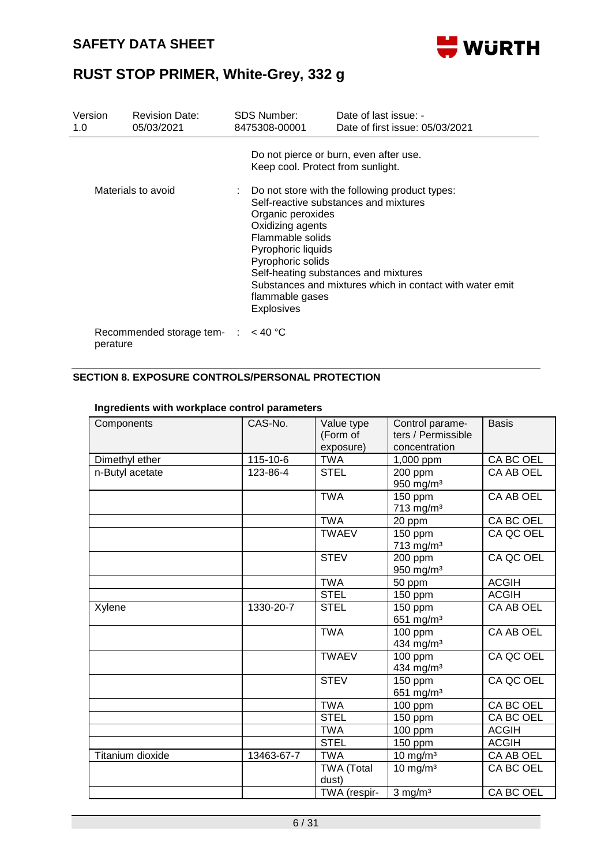

| Version<br>1.0 | <b>Revision Date:</b><br>05/03/2021           | SDS Number:<br>8475308-00001                                                                                                                                                      | Date of last issue: -<br>Date of first issue: 05/03/2021                                                                                                                                                                                |
|----------------|-----------------------------------------------|-----------------------------------------------------------------------------------------------------------------------------------------------------------------------------------|-----------------------------------------------------------------------------------------------------------------------------------------------------------------------------------------------------------------------------------------|
|                | Materials to avoid                            | Keep cool. Protect from sunlight.<br>Organic peroxides<br>Oxidizing agents<br>Flammable solids<br>Pyrophoric liquids<br>Pyrophoric solids<br>flammable gases<br><b>Explosives</b> | Do not pierce or burn, even after use.<br>: Do not store with the following product types:<br>Self-reactive substances and mixtures<br>Self-heating substances and mixtures<br>Substances and mixtures which in contact with water emit |
| perature       | Recommended storage tem- $\therefore$ < 40 °C |                                                                                                                                                                                   |                                                                                                                                                                                                                                         |

#### **SECTION 8. EXPOSURE CONTROLS/PERSONAL PROTECTION**

| Components       | CAS-No.    | Value type<br>(Form of<br>exposure) | Control parame-<br>ters / Permissible<br>concentration | <b>Basis</b> |
|------------------|------------|-------------------------------------|--------------------------------------------------------|--------------|
| Dimethyl ether   | 115-10-6   | <b>TWA</b>                          | 1,000 ppm                                              | CA BC OEL    |
| n-Butyl acetate  | 123-86-4   | <b>STEL</b>                         | 200 ppm<br>950 mg/m <sup>3</sup>                       | CA AB OEL    |
|                  |            | <b>TWA</b>                          | $150$ ppm<br>713 mg/m <sup>3</sup>                     | CA AB OEL    |
|                  |            | <b>TWA</b>                          | 20 ppm                                                 | CA BC OEL    |
|                  |            | <b>TWAEV</b>                        | 150 ppm<br>713 mg/m <sup>3</sup>                       | CA QC OEL    |
|                  |            | <b>STEV</b>                         | 200 ppm<br>950 mg/m <sup>3</sup>                       | CA QC OEL    |
|                  |            | <b>TWA</b>                          | 50 ppm                                                 | <b>ACGIH</b> |
|                  |            | <b>STEL</b>                         | 150 ppm                                                | <b>ACGIH</b> |
| Xylene           | 1330-20-7  | <b>STEL</b>                         | 150 ppm<br>651 mg/m <sup>3</sup>                       | CA AB OEL    |
|                  |            | <b>TWA</b>                          | 100 ppm<br>434 mg/m <sup>3</sup>                       | CA AB OEL    |
|                  |            | <b>TWAEV</b>                        | 100 ppm<br>434 mg/m <sup>3</sup>                       | CA QC OEL    |
|                  |            | <b>STEV</b>                         | $\overline{1}50$ ppm<br>651 mg/m <sup>3</sup>          | CA QC OEL    |
|                  |            | <b>TWA</b>                          | $100$ ppm                                              | CA BC OEL    |
|                  |            | <b>STEL</b>                         | 150 ppm                                                | CA BC OEL    |
|                  |            | <b>TWA</b>                          | 100 ppm                                                | <b>ACGIH</b> |
|                  |            | <b>STEL</b>                         | 150 ppm                                                | <b>ACGIH</b> |
| Titanium dioxide | 13463-67-7 | <b>TWA</b>                          | $10$ mg/m <sup>3</sup>                                 | CA AB OEL    |
|                  |            | <b>TWA (Total</b><br>dust)          | $10 \text{ mg/m}^3$                                    | CA BC OEL    |
|                  |            | TWA (respir-                        | $3$ mg/m <sup>3</sup>                                  | CA BC OEL    |

#### **Ingredients with workplace control parameters**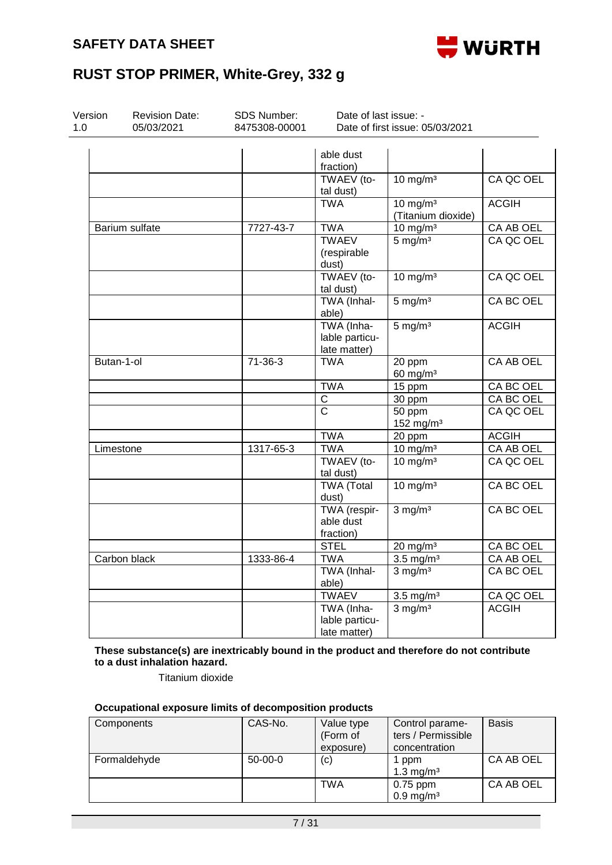

| Version<br>1.0 | <b>Revision Date:</b><br>05/03/2021 | <b>SDS Number:</b><br>8475308-00001 | Date of last issue: -<br>Date of first issue: 05/03/2021 |                                           |                  |  |
|----------------|-------------------------------------|-------------------------------------|----------------------------------------------------------|-------------------------------------------|------------------|--|
|                |                                     |                                     | able dust<br>fraction)                                   |                                           |                  |  |
|                |                                     |                                     | TWAEV (to-<br>tal dust)                                  | $10 \text{ mg/m}^3$                       | CA QC OEL        |  |
|                |                                     |                                     | <b>TWA</b>                                               | $10 \text{ mg/m}^3$<br>(Titanium dioxide) | <b>ACGIH</b>     |  |
|                | Barium sulfate                      | 7727-43-7                           | <b>TWA</b>                                               | $10 \text{ mg/m}^3$                       | CA AB OEL        |  |
|                |                                     |                                     | <b>TWAEV</b><br>(respirable<br>dust)                     | $5 \text{ mg/m}^3$                        | CA QC OEL        |  |
|                |                                     |                                     | TWAEV (to-<br>tal dust)                                  | $10 \text{ mg/m}^3$                       | CA QC OEL        |  |
|                |                                     |                                     | TWA (Inhal-<br>able)                                     | $5 \text{ mg/m}^3$                        | <b>CA BC OEL</b> |  |
|                |                                     |                                     | TWA (Inha-<br>lable particu-<br>late matter)             | $5 \text{ mg/m}^3$                        | <b>ACGIH</b>     |  |
|                | Butan-1-ol                          | $71 - 36 - 3$                       | <b>TWA</b>                                               | 20 ppm<br>$60$ mg/m <sup>3</sup>          | <b>CA AB OEL</b> |  |
|                |                                     |                                     | <b>TWA</b>                                               | 15 ppm                                    | CA BC OEL        |  |
|                |                                     |                                     | $\overline{\mathsf{C}}$                                  | 30 ppm                                    | CA BC OEL        |  |
|                |                                     |                                     | $\overline{\text{c}}$                                    | 50 ppm<br>152 mg/m <sup>3</sup>           | CA QC OEL        |  |
|                |                                     |                                     | <b>TWA</b>                                               | 20 ppm                                    | <b>ACGIH</b>     |  |
| Limestone      |                                     | 1317-65-3                           | <b>TWA</b>                                               | $10 \text{ mg/m}^3$                       | <b>CA AB OEL</b> |  |
|                |                                     |                                     | TWAEV (to-<br>tal dust)                                  | $10 \text{ mg/m}^3$                       | CA QC OEL        |  |
|                |                                     |                                     | <b>TWA (Total</b><br>dust)                               | $10 \text{ mg/m}^3$                       | CA BC OEL        |  |
|                |                                     |                                     | TWA (respir-<br>able dust<br>fraction)                   | $3$ mg/m <sup>3</sup>                     | <b>CA BC OEL</b> |  |
|                |                                     |                                     | <b>STEL</b>                                              | $20 \text{ mg/m}^3$                       | CA BC OEL        |  |
|                | Carbon black                        | 1333-86-4                           | <b>TWA</b>                                               | $3.5 \text{ mg/m}^3$                      | CA AB OEL        |  |
|                |                                     |                                     | TWA (Inhal-<br>able)                                     | $3$ mg/m <sup>3</sup>                     | <b>CA BC OEL</b> |  |
|                |                                     |                                     | <b>TWAEV</b>                                             | $3.5 \text{ mg/m}^3$                      | CA QC OEL        |  |
|                |                                     |                                     | TWA (Inha-<br>lable particu-<br>late matter)             | $3$ mg/m <sup>3</sup>                     | <b>ACGIH</b>     |  |

**These substance(s) are inextricably bound in the product and therefore do not contribute to a dust inhalation hazard.**

Titanium dioxide

#### **Occupational exposure limits of decomposition products**

| Components   | CAS-No.   | Value type<br>(Form of | Control parame-<br>ters / Permissible | <b>Basis</b> |
|--------------|-----------|------------------------|---------------------------------------|--------------|
|              |           | exposure)              | concentration                         |              |
| Formaldehyde | $50-00-0$ | (c)                    | 1 ppm<br>1.3 mg/m <sup>3</sup>        | CA AB OEL    |
|              |           | TWA                    | $0.75$ ppm<br>$0.9 \,\mathrm{mg/m^3}$ | CA AB OEL    |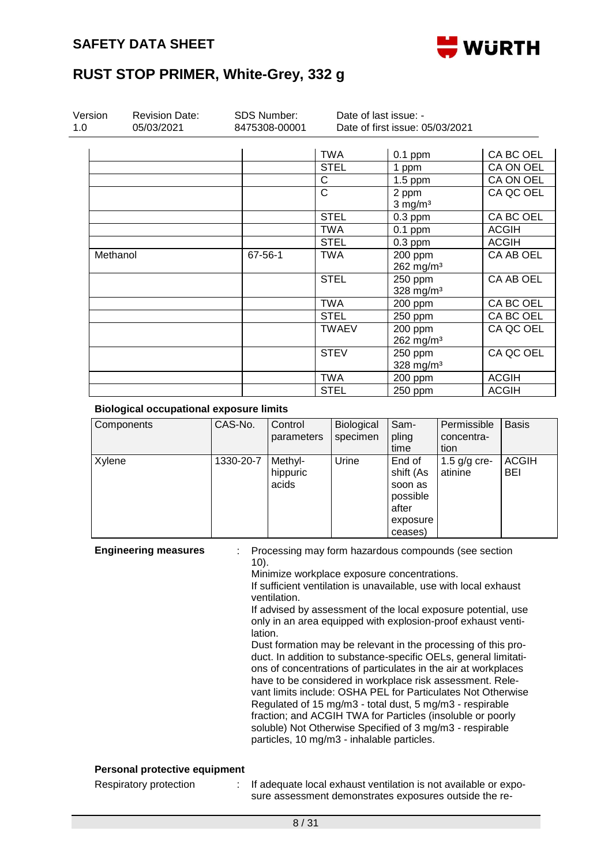

| Version<br>1.0 | <b>Revision Date:</b><br>05/03/2021 | <b>SDS Number:</b><br>8475308-00001 | Date of last issue: -<br>Date of first issue: 05/03/2021 |                                    |              |
|----------------|-------------------------------------|-------------------------------------|----------------------------------------------------------|------------------------------------|--------------|
|                |                                     |                                     | TWA                                                      | $0.1$ ppm                          | CA BC OEL    |
|                |                                     |                                     | <b>STEL</b>                                              | 1 ppm                              | CA ON OEL    |
|                |                                     |                                     | C                                                        | $1.5$ ppm                          | CA ON OEL    |
|                |                                     |                                     | $\mathsf{C}$                                             | 2 ppm<br>$3$ mg/m <sup>3</sup>     | CA QC OEL    |
|                |                                     |                                     | <b>STEL</b>                                              | $0.3$ ppm                          | CA BC OEL    |
|                |                                     |                                     | <b>TWA</b>                                               | $0.1$ ppm                          | <b>ACGIH</b> |
|                |                                     |                                     | <b>STEL</b>                                              | $0.3$ ppm                          | <b>ACGIH</b> |
| Methanol       |                                     | 67-56-1                             | <b>TWA</b>                                               | 200 ppm<br>$262$ mg/m <sup>3</sup> | CA AB OEL    |
|                |                                     |                                     | <b>STEL</b>                                              | 250 ppm<br>328 mg/m $3$            | CA AB OEL    |
|                |                                     |                                     | <b>TWA</b>                                               | 200 ppm                            | CA BC OEL    |
|                |                                     |                                     | <b>STEL</b>                                              | 250 ppm                            | CA BC OEL    |
|                |                                     |                                     | <b>TWAEV</b>                                             | 200 ppm<br>$262$ mg/m <sup>3</sup> | CA QC OEL    |
|                |                                     |                                     | <b>STEV</b>                                              | 250 ppm<br>328 mg/m <sup>3</sup>   | CA QC OEL    |
|                |                                     |                                     | <b>TWA</b>                                               | 200 ppm                            | <b>ACGIH</b> |
|                |                                     |                                     | <b>STEL</b>                                              | 250 ppm                            | <b>ACGIH</b> |

#### **Biological occupational exposure limits**

| Components | CAS-No.   | Control<br>parameters        | Biological<br>specimen | Sam-<br>pling<br>time                                                      | Permissible<br>concentra-<br>tion | <b>Basis</b>               |
|------------|-----------|------------------------------|------------------------|----------------------------------------------------------------------------|-----------------------------------|----------------------------|
| Xylene     | 1330-20-7 | Methyl-<br>hippuric<br>acids | Urine                  | End of<br>shift (As<br>soon as<br>possible<br>after<br>exposure<br>ceases) | 1.5 $g/g$ cre-<br>atinine         | <b>ACGIH</b><br><b>BEI</b> |

**Engineering measures** : Processing may form hazardous compounds (see section 10).

Minimize workplace exposure concentrations.

If sufficient ventilation is unavailable, use with local exhaust ventilation.

If advised by assessment of the local exposure potential, use only in an area equipped with explosion-proof exhaust ventilation.

Dust formation may be relevant in the processing of this product. In addition to substance-specific OELs, general limitations of concentrations of particulates in the air at workplaces have to be considered in workplace risk assessment. Relevant limits include: OSHA PEL for Particulates Not Otherwise Regulated of 15 mg/m3 - total dust, 5 mg/m3 - respirable fraction; and ACGIH TWA for Particles (insoluble or poorly soluble) Not Otherwise Specified of 3 mg/m3 - respirable particles, 10 mg/m3 - inhalable particles.

#### **Personal protective equipment**

Respiratory protection : If adequate local exhaust ventilation is not available or exposure assessment demonstrates exposures outside the re-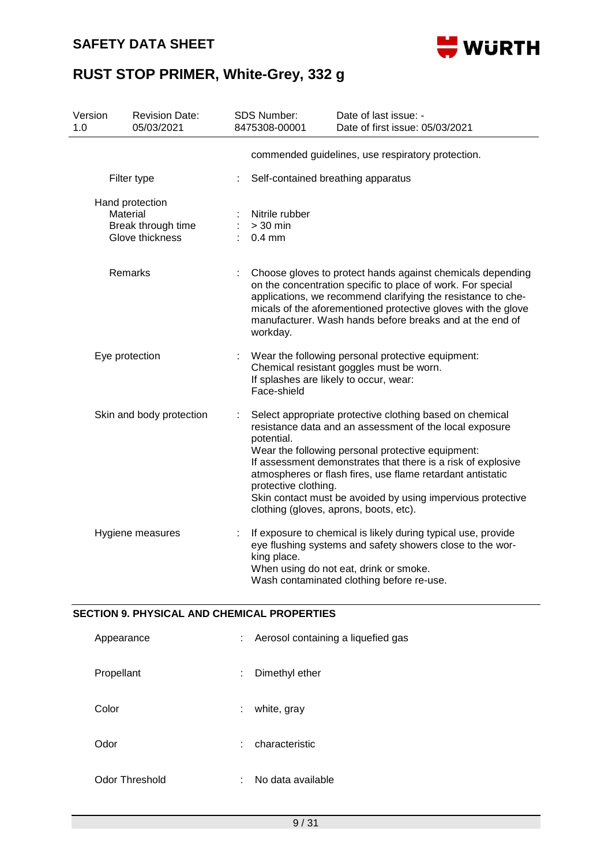

| Version<br>1.0 |                | <b>Revision Date:</b><br>05/03/2021                      | SDS Number:<br>8475308-00001                          | Date of last issue: -<br>Date of first issue: 05/03/2021                                                                                                                                                                                                                                                                                                                                                        |
|----------------|----------------|----------------------------------------------------------|-------------------------------------------------------|-----------------------------------------------------------------------------------------------------------------------------------------------------------------------------------------------------------------------------------------------------------------------------------------------------------------------------------------------------------------------------------------------------------------|
|                |                |                                                          |                                                       | commended guidelines, use respiratory protection.                                                                                                                                                                                                                                                                                                                                                               |
|                |                | Filter type                                              | Self-contained breathing apparatus                    |                                                                                                                                                                                                                                                                                                                                                                                                                 |
|                | Material       | Hand protection<br>Break through time<br>Glove thickness | Nitrile rubber<br>$>30$ min<br>$0.4$ mm               |                                                                                                                                                                                                                                                                                                                                                                                                                 |
|                |                | Remarks                                                  | workday.                                              | Choose gloves to protect hands against chemicals depending<br>on the concentration specific to place of work. For special<br>applications, we recommend clarifying the resistance to che-<br>micals of the aforementioned protective gloves with the glove<br>manufacturer. Wash hands before breaks and at the end of                                                                                          |
|                | Eye protection |                                                          | If splashes are likely to occur, wear:<br>Face-shield | Wear the following personal protective equipment:<br>Chemical resistant goggles must be worn.                                                                                                                                                                                                                                                                                                                   |
|                |                | Skin and body protection                                 | potential.<br>protective clothing.                    | Select appropriate protective clothing based on chemical<br>resistance data and an assessment of the local exposure<br>Wear the following personal protective equipment:<br>If assessment demonstrates that there is a risk of explosive<br>atmospheres or flash fires, use flame retardant antistatic<br>Skin contact must be avoided by using impervious protective<br>clothing (gloves, aprons, boots, etc). |
|                |                | Hygiene measures                                         | king place.                                           | If exposure to chemical is likely during typical use, provide<br>eye flushing systems and safety showers close to the wor-<br>When using do not eat, drink or smoke.<br>Wash contaminated clothing before re-use.                                                                                                                                                                                               |

#### **SECTION 9. PHYSICAL AND CHEMICAL PROPERTIES**

| Appearance     | Aerosol containing a liquefied gas<br>÷. |
|----------------|------------------------------------------|
| Propellant     | Dimethyl ether<br>÷                      |
| Color          | white, gray<br>÷                         |
| Odor           | characteristic<br>÷.                     |
| Odor Threshold | No data available<br>÷                   |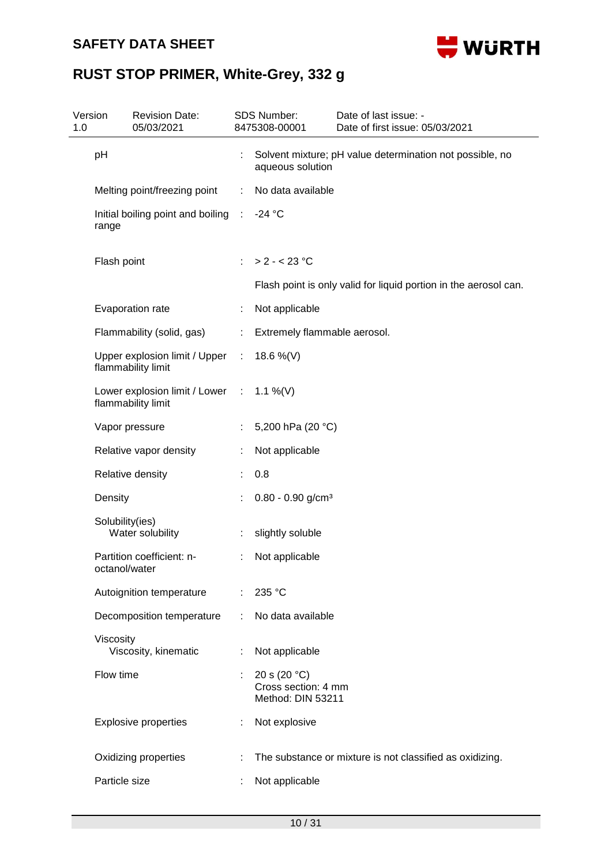### **SAFETY DATA SHEET**



| Version<br>1.0 | <b>Revision Date:</b><br>05/03/2021                            |    | <b>SDS Number:</b><br>8475308-00001                        | Date of last issue: -<br>Date of first issue: 05/03/2021         |
|----------------|----------------------------------------------------------------|----|------------------------------------------------------------|------------------------------------------------------------------|
|                | pH                                                             |    | aqueous solution                                           | Solvent mixture; pH value determination not possible, no         |
|                | Melting point/freezing point                                   | ÷  | No data available                                          |                                                                  |
|                | Initial boiling point and boiling :<br>range                   |    | $-24$ °C                                                   |                                                                  |
|                | Flash point                                                    | ÷  | $> 2 - < 23$ °C                                            |                                                                  |
|                |                                                                |    |                                                            | Flash point is only valid for liquid portion in the aerosol can. |
|                | Evaporation rate                                               | ÷  | Not applicable                                             |                                                                  |
|                | Flammability (solid, gas)                                      | ÷  | Extremely flammable aerosol.                               |                                                                  |
|                | Upper explosion limit / Upper :<br>flammability limit          |    | 18.6 %(V)                                                  |                                                                  |
|                | Lower explosion limit / Lower : 1.1 %(V)<br>flammability limit |    |                                                            |                                                                  |
|                | Vapor pressure                                                 | ÷. | 5,200 hPa (20 °C)                                          |                                                                  |
|                | Relative vapor density                                         | ÷  | Not applicable                                             |                                                                  |
|                | Relative density                                               |    | 0.8                                                        |                                                                  |
|                | Density                                                        |    | $0.80 - 0.90$ g/cm <sup>3</sup>                            |                                                                  |
|                | Solubility(ies)<br>Water solubility                            |    | slightly soluble                                           |                                                                  |
|                | Partition coefficient: n-<br>octanol/water                     | ÷  | Not applicable                                             |                                                                  |
|                | Autoignition temperature                                       |    | 235 °C                                                     |                                                                  |
|                | Decomposition temperature                                      |    | No data available                                          |                                                                  |
|                | Viscosity<br>Viscosity, kinematic                              |    | Not applicable                                             |                                                                  |
|                | Flow time                                                      |    | 20 s $(20 °C)$<br>Cross section: 4 mm<br>Method: DIN 53211 |                                                                  |
|                | <b>Explosive properties</b>                                    | ÷  | Not explosive                                              |                                                                  |
|                | Oxidizing properties                                           |    |                                                            | The substance or mixture is not classified as oxidizing.         |
|                | Particle size                                                  |    | Not applicable                                             |                                                                  |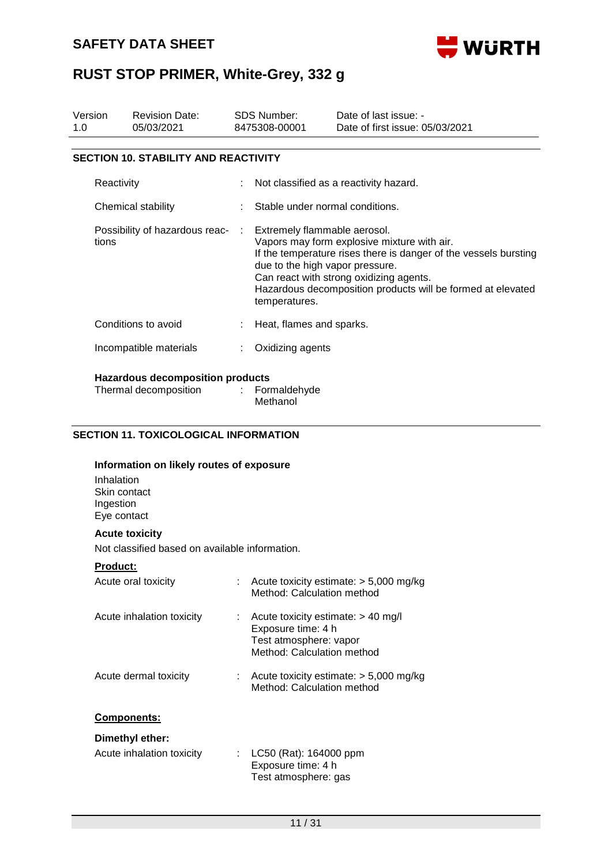

| Version<br>1.0 | <b>Revision Date:</b><br>05/03/2021                              | SDS Number:<br>8475308-00001 |                                                                                                                                                                                                                                                                                                               | Date of last issue: -<br>Date of first issue: 05/03/2021 |  |  |
|----------------|------------------------------------------------------------------|------------------------------|---------------------------------------------------------------------------------------------------------------------------------------------------------------------------------------------------------------------------------------------------------------------------------------------------------------|----------------------------------------------------------|--|--|
|                | <b>SECTION 10. STABILITY AND REACTIVITY</b>                      |                              |                                                                                                                                                                                                                                                                                                               |                                                          |  |  |
|                | Reactivity                                                       |                              | Not classified as a reactivity hazard.                                                                                                                                                                                                                                                                        |                                                          |  |  |
|                | Chemical stability                                               |                              | Stable under normal conditions.                                                                                                                                                                                                                                                                               |                                                          |  |  |
| tions          | Possibility of hazardous reac-                                   | ÷                            | Extremely flammable aerosol.<br>Vapors may form explosive mixture with air.<br>If the temperature rises there is danger of the vessels bursting<br>due to the high vapor pressure.<br>Can react with strong oxidizing agents.<br>Hazardous decomposition products will be formed at elevated<br>temperatures. |                                                          |  |  |
|                | Conditions to avoid                                              |                              | Heat, flames and sparks.                                                                                                                                                                                                                                                                                      |                                                          |  |  |
|                | Incompatible materials                                           |                              | Oxidizing agents                                                                                                                                                                                                                                                                                              |                                                          |  |  |
|                | <b>Hazardous decomposition products</b><br>Thermal decomposition |                              | : Formaldehyde<br>Methanol                                                                                                                                                                                                                                                                                    |                                                          |  |  |

#### **SECTION 11. TOXICOLOGICAL INFORMATION**

| Information on likely routes of exposure |
|------------------------------------------|
| Inhalation                               |
| Skin contact                             |
| Ingestion                                |
| Eye contact                              |
|                                          |

#### **Acute toxicity**

Not classified based on available information.

#### **Product:**

| Acute oral toxicity       | t. | Acute toxicity estimate: $> 5,000$ mg/kg<br>Method: Calculation method                                                          |
|---------------------------|----|---------------------------------------------------------------------------------------------------------------------------------|
| Acute inhalation toxicity |    | $\therefore$ Acute toxicity estimate: $> 40$ mg/l<br>Exposure time: 4 h<br>Test atmosphere: vapor<br>Method: Calculation method |
| Acute dermal toxicity     |    | Acute toxicity estimate: $>$ 5,000 mg/kg<br>Method: Calculation method                                                          |
| <b>Components:</b>        |    |                                                                                                                                 |
| Dimethyl ether:           |    |                                                                                                                                 |
| Acute inhalation toxicity |    | LC50 (Rat): 164000 ppm<br>Exposure time: 4 h                                                                                    |

Test atmosphere: gas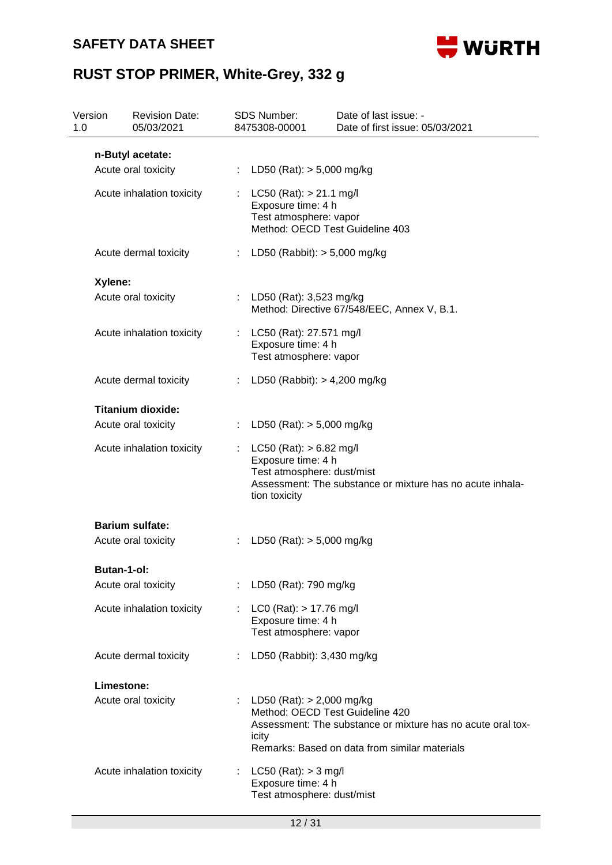### **SAFETY DATA SHEET**



| 1.0 | Version     | <b>Revision Date:</b><br>05/03/2021 |    | <b>SDS Number:</b><br>8475308-00001                                                                            | Date of last issue: -<br>Date of first issue: 05/03/2021                                                                                        |  |  |
|-----|-------------|-------------------------------------|----|----------------------------------------------------------------------------------------------------------------|-------------------------------------------------------------------------------------------------------------------------------------------------|--|--|
|     |             | n-Butyl acetate:                    |    |                                                                                                                |                                                                                                                                                 |  |  |
|     |             | Acute oral toxicity                 | ÷  | LD50 (Rat): $> 5,000$ mg/kg                                                                                    |                                                                                                                                                 |  |  |
|     |             | Acute inhalation toxicity           |    | $LC50$ (Rat): $> 21.1$ mg/l<br>Exposure time: 4 h<br>Test atmosphere: vapor<br>Method: OECD Test Guideline 403 |                                                                                                                                                 |  |  |
|     |             | Acute dermal toxicity               | ÷. | LD50 (Rabbit): $>$ 5,000 mg/kg                                                                                 |                                                                                                                                                 |  |  |
|     | Xylene:     |                                     |    |                                                                                                                |                                                                                                                                                 |  |  |
|     |             | Acute oral toxicity                 |    | LD50 (Rat): 3,523 mg/kg                                                                                        | Method: Directive 67/548/EEC, Annex V, B.1.                                                                                                     |  |  |
|     |             | Acute inhalation toxicity           | ÷  | LC50 (Rat): 27.571 mg/l<br>Exposure time: 4 h<br>Test atmosphere: vapor                                        |                                                                                                                                                 |  |  |
|     |             | Acute dermal toxicity               | ÷  | LD50 (Rabbit): $> 4,200$ mg/kg                                                                                 |                                                                                                                                                 |  |  |
|     |             | <b>Titanium dioxide:</b>            |    |                                                                                                                |                                                                                                                                                 |  |  |
|     |             | Acute oral toxicity                 | ÷  | LD50 (Rat): $> 5,000$ mg/kg                                                                                    |                                                                                                                                                 |  |  |
|     |             | Acute inhalation toxicity           |    | $LC50$ (Rat): $> 6.82$ mg/l<br>Exposure time: 4 h<br>Test atmosphere: dust/mist<br>tion toxicity               | Assessment: The substance or mixture has no acute inhala-                                                                                       |  |  |
|     |             | <b>Barium sulfate:</b>              |    |                                                                                                                |                                                                                                                                                 |  |  |
|     |             | Acute oral toxicity                 |    | LD50 (Rat): $> 5,000$ mg/kg                                                                                    |                                                                                                                                                 |  |  |
|     | Butan-1-ol: |                                     |    |                                                                                                                |                                                                                                                                                 |  |  |
|     |             | Acute oral toxicity                 |    | LD50 (Rat): 790 mg/kg                                                                                          |                                                                                                                                                 |  |  |
|     |             | Acute inhalation toxicity           |    | $LCO$ (Rat): $> 17.76$ mg/l<br>Exposure time: 4 h<br>Test atmosphere: vapor                                    |                                                                                                                                                 |  |  |
|     |             | Acute dermal toxicity               |    | LD50 (Rabbit): 3,430 mg/kg                                                                                     |                                                                                                                                                 |  |  |
|     | Limestone:  |                                     |    |                                                                                                                |                                                                                                                                                 |  |  |
|     |             | Acute oral toxicity                 |    | LD50 (Rat): $> 2,000$ mg/kg<br>icity                                                                           | Method: OECD Test Guideline 420<br>Assessment: The substance or mixture has no acute oral tox-<br>Remarks: Based on data from similar materials |  |  |
|     |             | Acute inhalation toxicity           |    | $LC50$ (Rat): $> 3$ mg/l<br>Exposure time: 4 h<br>Test atmosphere: dust/mist                                   |                                                                                                                                                 |  |  |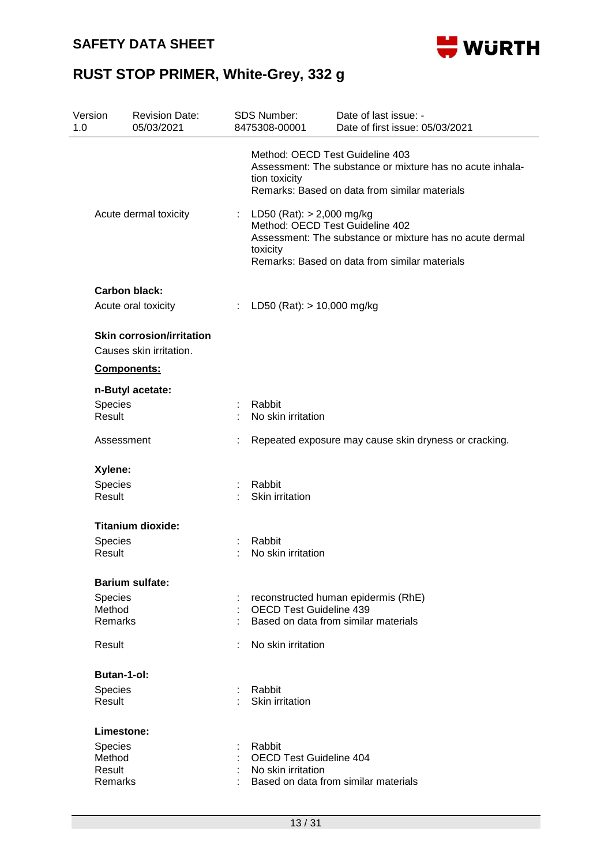

| Method: OECD Test Guideline 403<br>Assessment: The substance or mixture has no acute inhala-<br>tion toxicity<br>Remarks: Based on data from similar materials<br>Acute dermal toxicity<br>LD50 (Rat): $> 2,000$ mg/kg<br>t.<br>Method: OECD Test Guideline 402<br>Assessment: The substance or mixture has no acute dermal<br>toxicity<br>Remarks: Based on data from similar materials<br><b>Carbon black:</b><br>LD50 (Rat): > 10,000 mg/kg<br>Acute oral toxicity<br>÷<br><b>Skin corrosion/irritation</b><br>Causes skin irritation.<br>Components:<br>n-Butyl acetate:<br>Species<br>Rabbit<br>Result<br>No skin irritation<br>Assessment<br>Repeated exposure may cause skin dryness or cracking.<br>Xylene:<br>Species<br>Rabbit<br>Result<br>Skin irritation<br><b>Titanium dioxide:</b><br>Rabbit<br>Species<br>Result<br>No skin irritation<br><b>Barium sulfate:</b><br>Species<br>reconstructed human epidermis (RhE)<br>Method<br><b>OECD Test Guideline 439</b><br><b>Remarks</b><br>Based on data from similar materials<br>Result<br>No skin irritation | Version<br>1.0 | <b>Revision Date:</b><br>05/03/2021 | <b>SDS Number:</b><br>8475308-00001 | Date of last issue: -<br>Date of first issue: 05/03/2021 |
|--------------------------------------------------------------------------------------------------------------------------------------------------------------------------------------------------------------------------------------------------------------------------------------------------------------------------------------------------------------------------------------------------------------------------------------------------------------------------------------------------------------------------------------------------------------------------------------------------------------------------------------------------------------------------------------------------------------------------------------------------------------------------------------------------------------------------------------------------------------------------------------------------------------------------------------------------------------------------------------------------------------------------------------------------------------------------|----------------|-------------------------------------|-------------------------------------|----------------------------------------------------------|
|                                                                                                                                                                                                                                                                                                                                                                                                                                                                                                                                                                                                                                                                                                                                                                                                                                                                                                                                                                                                                                                                          |                |                                     |                                     |                                                          |
|                                                                                                                                                                                                                                                                                                                                                                                                                                                                                                                                                                                                                                                                                                                                                                                                                                                                                                                                                                                                                                                                          |                |                                     |                                     |                                                          |
|                                                                                                                                                                                                                                                                                                                                                                                                                                                                                                                                                                                                                                                                                                                                                                                                                                                                                                                                                                                                                                                                          |                |                                     |                                     |                                                          |
|                                                                                                                                                                                                                                                                                                                                                                                                                                                                                                                                                                                                                                                                                                                                                                                                                                                                                                                                                                                                                                                                          |                |                                     |                                     |                                                          |
|                                                                                                                                                                                                                                                                                                                                                                                                                                                                                                                                                                                                                                                                                                                                                                                                                                                                                                                                                                                                                                                                          |                |                                     |                                     |                                                          |
|                                                                                                                                                                                                                                                                                                                                                                                                                                                                                                                                                                                                                                                                                                                                                                                                                                                                                                                                                                                                                                                                          |                |                                     |                                     |                                                          |
|                                                                                                                                                                                                                                                                                                                                                                                                                                                                                                                                                                                                                                                                                                                                                                                                                                                                                                                                                                                                                                                                          |                |                                     |                                     |                                                          |
|                                                                                                                                                                                                                                                                                                                                                                                                                                                                                                                                                                                                                                                                                                                                                                                                                                                                                                                                                                                                                                                                          |                |                                     |                                     |                                                          |
|                                                                                                                                                                                                                                                                                                                                                                                                                                                                                                                                                                                                                                                                                                                                                                                                                                                                                                                                                                                                                                                                          |                |                                     |                                     |                                                          |
|                                                                                                                                                                                                                                                                                                                                                                                                                                                                                                                                                                                                                                                                                                                                                                                                                                                                                                                                                                                                                                                                          |                |                                     |                                     |                                                          |
|                                                                                                                                                                                                                                                                                                                                                                                                                                                                                                                                                                                                                                                                                                                                                                                                                                                                                                                                                                                                                                                                          |                |                                     |                                     |                                                          |
|                                                                                                                                                                                                                                                                                                                                                                                                                                                                                                                                                                                                                                                                                                                                                                                                                                                                                                                                                                                                                                                                          |                |                                     |                                     |                                                          |
|                                                                                                                                                                                                                                                                                                                                                                                                                                                                                                                                                                                                                                                                                                                                                                                                                                                                                                                                                                                                                                                                          |                |                                     |                                     |                                                          |
|                                                                                                                                                                                                                                                                                                                                                                                                                                                                                                                                                                                                                                                                                                                                                                                                                                                                                                                                                                                                                                                                          |                |                                     |                                     |                                                          |
|                                                                                                                                                                                                                                                                                                                                                                                                                                                                                                                                                                                                                                                                                                                                                                                                                                                                                                                                                                                                                                                                          |                |                                     |                                     |                                                          |
|                                                                                                                                                                                                                                                                                                                                                                                                                                                                                                                                                                                                                                                                                                                                                                                                                                                                                                                                                                                                                                                                          |                |                                     |                                     |                                                          |
|                                                                                                                                                                                                                                                                                                                                                                                                                                                                                                                                                                                                                                                                                                                                                                                                                                                                                                                                                                                                                                                                          |                |                                     |                                     |                                                          |
|                                                                                                                                                                                                                                                                                                                                                                                                                                                                                                                                                                                                                                                                                                                                                                                                                                                                                                                                                                                                                                                                          |                |                                     |                                     |                                                          |
|                                                                                                                                                                                                                                                                                                                                                                                                                                                                                                                                                                                                                                                                                                                                                                                                                                                                                                                                                                                                                                                                          |                |                                     |                                     |                                                          |
|                                                                                                                                                                                                                                                                                                                                                                                                                                                                                                                                                                                                                                                                                                                                                                                                                                                                                                                                                                                                                                                                          |                |                                     |                                     |                                                          |
|                                                                                                                                                                                                                                                                                                                                                                                                                                                                                                                                                                                                                                                                                                                                                                                                                                                                                                                                                                                                                                                                          |                |                                     |                                     |                                                          |
|                                                                                                                                                                                                                                                                                                                                                                                                                                                                                                                                                                                                                                                                                                                                                                                                                                                                                                                                                                                                                                                                          |                |                                     |                                     |                                                          |
|                                                                                                                                                                                                                                                                                                                                                                                                                                                                                                                                                                                                                                                                                                                                                                                                                                                                                                                                                                                                                                                                          |                | <b>Butan-1-ol:</b>                  |                                     |                                                          |
| Species<br>Rabbit                                                                                                                                                                                                                                                                                                                                                                                                                                                                                                                                                                                                                                                                                                                                                                                                                                                                                                                                                                                                                                                        |                |                                     |                                     |                                                          |
| Result<br>Skin irritation                                                                                                                                                                                                                                                                                                                                                                                                                                                                                                                                                                                                                                                                                                                                                                                                                                                                                                                                                                                                                                                |                |                                     |                                     |                                                          |
| Limestone:                                                                                                                                                                                                                                                                                                                                                                                                                                                                                                                                                                                                                                                                                                                                                                                                                                                                                                                                                                                                                                                               |                |                                     |                                     |                                                          |
| Rabbit<br>Species                                                                                                                                                                                                                                                                                                                                                                                                                                                                                                                                                                                                                                                                                                                                                                                                                                                                                                                                                                                                                                                        |                |                                     |                                     |                                                          |
| <b>OECD Test Guideline 404</b><br>Method<br>Result<br>No skin irritation                                                                                                                                                                                                                                                                                                                                                                                                                                                                                                                                                                                                                                                                                                                                                                                                                                                                                                                                                                                                 |                |                                     |                                     |                                                          |
| Based on data from similar materials<br>Remarks                                                                                                                                                                                                                                                                                                                                                                                                                                                                                                                                                                                                                                                                                                                                                                                                                                                                                                                                                                                                                          |                |                                     |                                     |                                                          |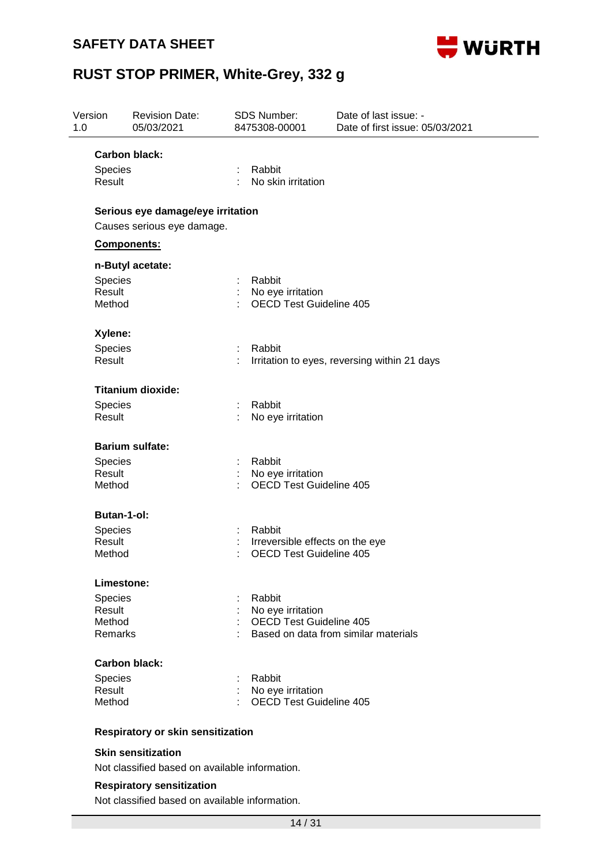

| Version<br>1.0           | <b>Revision Date:</b><br>05/03/2021 | SDS Number:<br>8475308-00001 |                                                     | Date of last issue: -<br>Date of first issue: 05/03/2021 |
|--------------------------|-------------------------------------|------------------------------|-----------------------------------------------------|----------------------------------------------------------|
|                          | Carbon black:                       |                              |                                                     |                                                          |
| Species<br>Result        |                                     | Rabbit<br>÷                  | No skin irritation                                  |                                                          |
|                          | Serious eye damage/eye irritation   |                              |                                                     |                                                          |
|                          | Causes serious eye damage.          |                              |                                                     |                                                          |
|                          | Components:                         |                              |                                                     |                                                          |
|                          | n-Butyl acetate:                    |                              |                                                     |                                                          |
| Species                  |                                     | Rabbit                       |                                                     |                                                          |
| Result                   |                                     |                              | No eye irritation                                   |                                                          |
| Method                   |                                     |                              | <b>OECD Test Guideline 405</b>                      |                                                          |
| Xylene:                  |                                     |                              |                                                     |                                                          |
| Species                  |                                     | Rabbit                       |                                                     |                                                          |
| Result                   |                                     |                              |                                                     | Irritation to eyes, reversing within 21 days             |
|                          | <b>Titanium dioxide:</b>            |                              |                                                     |                                                          |
| Species                  |                                     | Rabbit                       |                                                     |                                                          |
| Result                   |                                     |                              | No eye irritation                                   |                                                          |
|                          | <b>Barium sulfate:</b>              |                              |                                                     |                                                          |
| Species                  |                                     | Rabbit                       |                                                     |                                                          |
| Result                   |                                     |                              | No eye irritation                                   |                                                          |
| Method                   |                                     |                              | <b>OECD Test Guideline 405</b>                      |                                                          |
|                          | Butan-1-ol:                         |                              |                                                     |                                                          |
| Species                  |                                     | Rabbit                       |                                                     |                                                          |
| Result                   |                                     |                              |                                                     | Irreversible effects on the eye                          |
| Method                   |                                     |                              | <b>OECD Test Guideline 405</b>                      |                                                          |
|                          | Limestone:                          |                              |                                                     |                                                          |
| <b>Species</b>           |                                     | Rabbit                       |                                                     |                                                          |
| Result                   |                                     |                              | No eye irritation                                   |                                                          |
| Method<br><b>Remarks</b> |                                     |                              | <b>OECD Test Guideline 405</b>                      | Based on data from similar materials                     |
|                          |                                     |                              |                                                     |                                                          |
|                          | Carbon black:                       |                              |                                                     |                                                          |
| Species                  |                                     | Rabbit                       |                                                     |                                                          |
| Result<br>Method         |                                     |                              | No eye irritation<br><b>OECD Test Guideline 405</b> |                                                          |
|                          |                                     |                              |                                                     |                                                          |
|                          | Respiratory or skin sensitization   |                              |                                                     |                                                          |
|                          | <b>Skin sensitization</b>           |                              |                                                     |                                                          |

Not classified based on available information.

#### **Respiratory sensitization**

Not classified based on available information.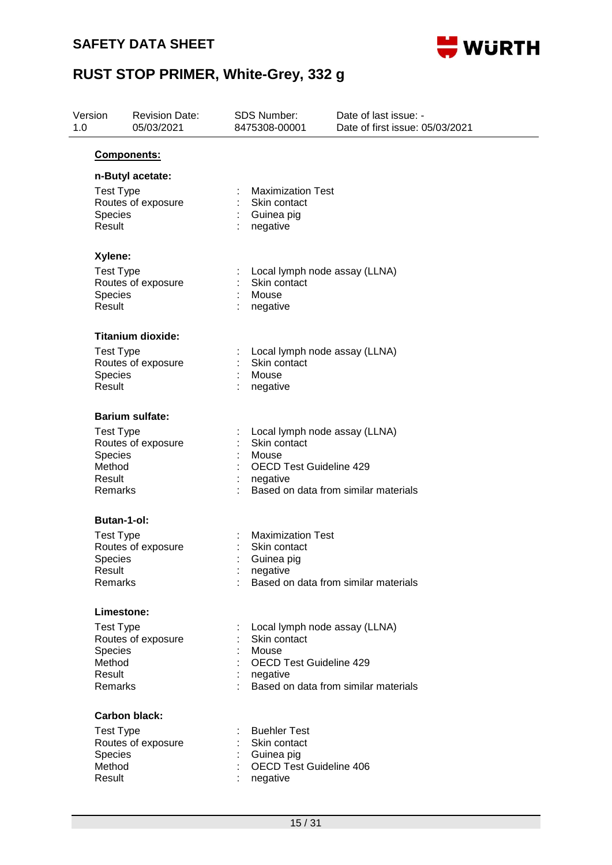

| Version<br>1.0 |                                                            | <b>Revision Date:</b><br>05/03/2021 | <b>SDS Number:</b><br>8475308-00001                                                                  | Date of last issue: -<br>Date of first issue: 05/03/2021 |
|----------------|------------------------------------------------------------|-------------------------------------|------------------------------------------------------------------------------------------------------|----------------------------------------------------------|
|                | Components:                                                |                                     |                                                                                                      |                                                          |
|                | n-Butyl acetate:<br><b>Test Type</b><br>Species<br>Result  | Routes of exposure                  | <b>Maximization Test</b><br>Skin contact<br>Guinea pig<br>negative                                   |                                                          |
|                | Xylene:<br><b>Test Type</b>                                |                                     | Local lymph node assay (LLNA)                                                                        |                                                          |
|                | Species<br>Result                                          | Routes of exposure                  | Skin contact<br>Mouse<br>negative                                                                    |                                                          |
|                |                                                            | <b>Titanium dioxide:</b>            |                                                                                                      |                                                          |
|                | <b>Test Type</b><br>Species<br>Result                      | Routes of exposure                  | Local lymph node assay (LLNA)<br>Skin contact<br>Mouse<br>negative                                   |                                                          |
|                | <b>Barium sulfate:</b>                                     |                                     |                                                                                                      |                                                          |
|                | <b>Test Type</b><br>Species<br>Method<br>Result<br>Remarks | Routes of exposure                  | Local lymph node assay (LLNA)<br>Skin contact<br>Mouse<br><b>OECD Test Guideline 429</b><br>negative | Based on data from similar materials                     |
|                | Butan-1-ol:                                                |                                     |                                                                                                      |                                                          |
|                | <b>Test Type</b><br><b>Species</b><br>Result<br>Remarks    | Routes of exposure                  | <b>Maximization Test</b><br>Skin contact<br>Guinea pig<br>negative                                   | Based on data from similar materials                     |
|                | Limestone:                                                 |                                     |                                                                                                      |                                                          |
|                | <b>Test Type</b><br>Species<br>Method<br>Result<br>Remarks | Routes of exposure                  | Local lymph node assay (LLNA)<br>Skin contact<br>Mouse<br>OECD Test Guideline 429<br>negative        | Based on data from similar materials                     |
|                | <b>Carbon black:</b>                                       |                                     |                                                                                                      |                                                          |
|                | <b>Test Type</b><br>Species<br>Method<br>Result            | Routes of exposure                  | <b>Buehler Test</b><br>Skin contact<br>Guinea pig<br><b>OECD Test Guideline 406</b><br>negative      |                                                          |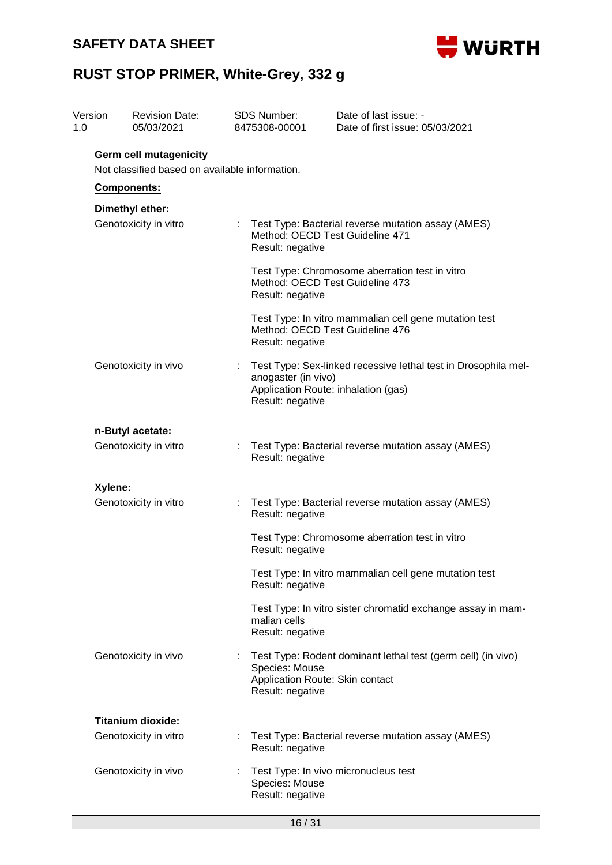### **SAFETY DATA SHEET**



| 1.0 | Version                                  | <b>Revision Date:</b><br>05/03/2021                                             |  | <b>SDS Number:</b><br>8475308-00001                                                                       | Date of last issue: -<br>Date of first issue: 05/03/2021                                 |  |  |  |  |
|-----|------------------------------------------|---------------------------------------------------------------------------------|--|-----------------------------------------------------------------------------------------------------------|------------------------------------------------------------------------------------------|--|--|--|--|
|     |                                          | <b>Germ cell mutagenicity</b><br>Not classified based on available information. |  |                                                                                                           |                                                                                          |  |  |  |  |
|     |                                          | Components:                                                                     |  |                                                                                                           |                                                                                          |  |  |  |  |
|     | Dimethyl ether:<br>Genotoxicity in vitro |                                                                                 |  | Test Type: Bacterial reverse mutation assay (AMES)<br>Method: OECD Test Guideline 471<br>Result: negative |                                                                                          |  |  |  |  |
|     |                                          |                                                                                 |  | Result: negative                                                                                          | Test Type: Chromosome aberration test in vitro<br>Method: OECD Test Guideline 473        |  |  |  |  |
|     |                                          |                                                                                 |  | Result: negative                                                                                          | Test Type: In vitro mammalian cell gene mutation test<br>Method: OECD Test Guideline 476 |  |  |  |  |
|     |                                          | Genotoxicity in vivo                                                            |  | anogaster (in vivo)<br>Application Route: inhalation (gas)<br>Result: negative                            | Test Type: Sex-linked recessive lethal test in Drosophila mel-                           |  |  |  |  |
|     | n-Butyl acetate:                         |                                                                                 |  |                                                                                                           |                                                                                          |  |  |  |  |
|     |                                          | Genotoxicity in vitro                                                           |  | Result: negative                                                                                          | Test Type: Bacterial reverse mutation assay (AMES)                                       |  |  |  |  |
|     | Xylene:                                  |                                                                                 |  |                                                                                                           |                                                                                          |  |  |  |  |
|     |                                          | Genotoxicity in vitro                                                           |  | Result: negative                                                                                          | Test Type: Bacterial reverse mutation assay (AMES)                                       |  |  |  |  |
|     |                                          |                                                                                 |  | Result: negative                                                                                          | Test Type: Chromosome aberration test in vitro                                           |  |  |  |  |
|     |                                          |                                                                                 |  | Result: negative                                                                                          | Test Type: In vitro mammalian cell gene mutation test                                    |  |  |  |  |
|     |                                          |                                                                                 |  | malian cells<br>Result: negative                                                                          | Test Type: In vitro sister chromatid exchange assay in mam-                              |  |  |  |  |
|     |                                          | Genotoxicity in vivo                                                            |  | Species: Mouse<br>Application Route: Skin contact<br>Result: negative                                     | Test Type: Rodent dominant lethal test (germ cell) (in vivo)                             |  |  |  |  |
|     |                                          | <b>Titanium dioxide:</b>                                                        |  |                                                                                                           |                                                                                          |  |  |  |  |
|     |                                          | Genotoxicity in vitro                                                           |  | Result: negative                                                                                          | Test Type: Bacterial reverse mutation assay (AMES)                                       |  |  |  |  |
|     |                                          | Genotoxicity in vivo                                                            |  | Species: Mouse<br>Result: negative                                                                        | Test Type: In vivo micronucleus test                                                     |  |  |  |  |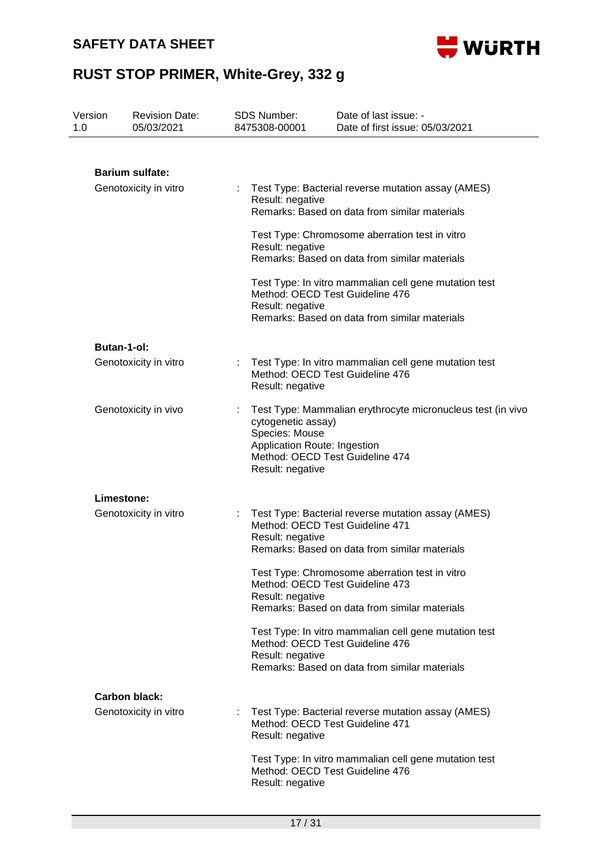

| Version<br>1.0 | <b>Revision Date:</b><br>05/03/2021 | <b>SDS Number:</b><br>8475308-00001  | Date of last issue: -<br>Date of first issue: 05/03/2021                                    |
|----------------|-------------------------------------|--------------------------------------|---------------------------------------------------------------------------------------------|
|                |                                     |                                      |                                                                                             |
|                | <b>Barium sulfate:</b>              |                                      |                                                                                             |
|                | Genotoxicity in vitro               | Result: negative                     | Test Type: Bacterial reverse mutation assay (AMES)                                          |
|                |                                     |                                      | Remarks: Based on data from similar materials                                               |
|                |                                     | Result: negative                     | Test Type: Chromosome aberration test in vitro                                              |
|                |                                     |                                      | Remarks: Based on data from similar materials                                               |
|                |                                     |                                      | Test Type: In vitro mammalian cell gene mutation test<br>Method: OECD Test Guideline 476    |
|                |                                     | Result: negative                     | Remarks: Based on data from similar materials                                               |
|                | <b>Butan-1-ol:</b>                  |                                      |                                                                                             |
|                | Genotoxicity in vitro               | Result: negative                     | Test Type: In vitro mammalian cell gene mutation test<br>Method: OECD Test Guideline 476    |
|                | Genotoxicity in vivo                | cytogenetic assay)<br>Species: Mouse | Test Type: Mammalian erythrocyte micronucleus test (in vivo<br>Application Route: Ingestion |
|                |                                     | Result: negative                     | Method: OECD Test Guideline 474                                                             |
|                | Limestone:                          |                                      |                                                                                             |
|                | Genotoxicity in vitro               |                                      | Test Type: Bacterial reverse mutation assay (AMES)<br>Method: OECD Test Guideline 471       |
|                |                                     | Result: negative                     | Remarks: Based on data from similar materials                                               |
|                |                                     |                                      | Test Type: Chromosome aberration test in vitro<br>Method: OECD Test Guideline 473           |
|                |                                     | Result: negative                     | Remarks: Based on data from similar materials                                               |
|                |                                     |                                      | Test Type: In vitro mammalian cell gene mutation test<br>Method: OECD Test Guideline 476    |
|                |                                     | Result: negative                     | Remarks: Based on data from similar materials                                               |
|                | <b>Carbon black:</b>                |                                      |                                                                                             |
|                | Genotoxicity in vitro               | Result: negative                     | Test Type: Bacterial reverse mutation assay (AMES)<br>Method: OECD Test Guideline 471       |
|                |                                     | Result: negative                     | Test Type: In vitro mammalian cell gene mutation test<br>Method: OECD Test Guideline 476    |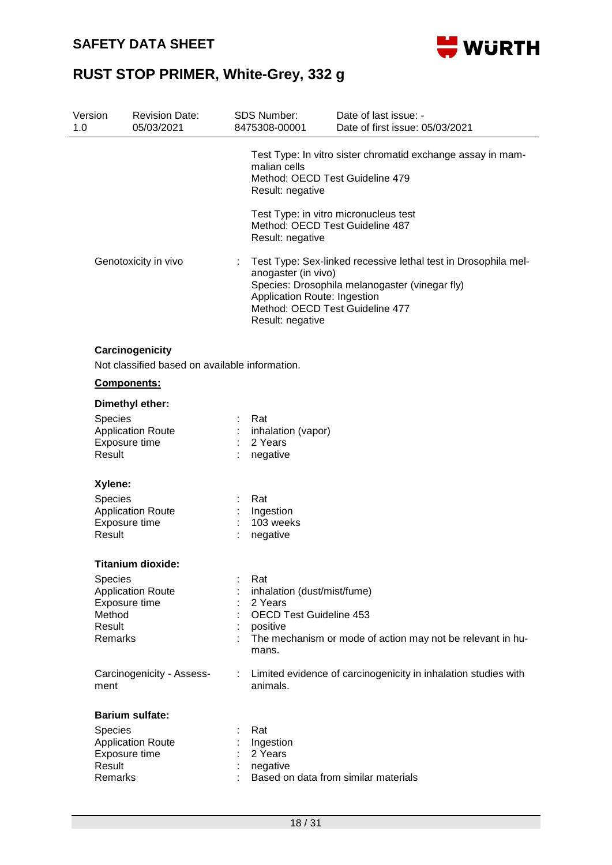

| Version<br>1.0 | <b>Revision Date:</b><br>05/03/2021                               |    | SDS Number:<br>8475308-00001                                                                                                                                                                                                   | Date of last issue: -<br>Date of first issue: 05/03/2021                                       |  |
|----------------|-------------------------------------------------------------------|----|--------------------------------------------------------------------------------------------------------------------------------------------------------------------------------------------------------------------------------|------------------------------------------------------------------------------------------------|--|
|                |                                                                   |    | malian cells<br>Result: negative                                                                                                                                                                                               | Test Type: In vitro sister chromatid exchange assay in mam-<br>Method: OECD Test Guideline 479 |  |
|                |                                                                   |    | Result: negative                                                                                                                                                                                                               | Test Type: in vitro micronucleus test<br>Method: OECD Test Guideline 487                       |  |
|                | Genotoxicity in vivo                                              |    | Test Type: Sex-linked recessive lethal test in Drosophila mel-<br>anogaster (in vivo)<br>Species: Drosophila melanogaster (vinegar fly)<br>Application Route: Ingestion<br>Method: OECD Test Guideline 477<br>Result: negative |                                                                                                |  |
|                | Carcinogenicity<br>Not classified based on available information. |    |                                                                                                                                                                                                                                |                                                                                                |  |
|                | Components:                                                       |    |                                                                                                                                                                                                                                |                                                                                                |  |
|                | Dimethyl ether:                                                   |    |                                                                                                                                                                                                                                |                                                                                                |  |
| Result         | Species<br><b>Application Route</b><br>Exposure time              |    | Rat<br>inhalation (vapor)<br>2 Years<br>negative                                                                                                                                                                               |                                                                                                |  |
|                | Xylene:                                                           |    |                                                                                                                                                                                                                                |                                                                                                |  |
|                | Species                                                           |    | Rat                                                                                                                                                                                                                            |                                                                                                |  |
|                | <b>Application Route</b>                                          |    | Ingestion                                                                                                                                                                                                                      |                                                                                                |  |
|                | Exposure time                                                     |    | 103 weeks                                                                                                                                                                                                                      |                                                                                                |  |
| Result         |                                                                   |    | negative                                                                                                                                                                                                                       |                                                                                                |  |
|                | <b>Titanium dioxide:</b>                                          |    |                                                                                                                                                                                                                                |                                                                                                |  |
|                | <b>Species</b>                                                    |    | Rat                                                                                                                                                                                                                            |                                                                                                |  |
|                | <b>Application Route</b>                                          |    | inhalation (dust/mist/fume)                                                                                                                                                                                                    |                                                                                                |  |
| Method         | Exposure time                                                     |    | 2 Years<br><b>OECD Test Guideline 453</b>                                                                                                                                                                                      |                                                                                                |  |
| Result         |                                                                   |    | positive                                                                                                                                                                                                                       |                                                                                                |  |
|                | Remarks                                                           |    | mans.                                                                                                                                                                                                                          | The mechanism or mode of action may not be relevant in hu-                                     |  |
| ment           | Carcinogenicity - Assess-                                         | ÷. | animals.                                                                                                                                                                                                                       | Limited evidence of carcinogenicity in inhalation studies with                                 |  |
|                | <b>Barium sulfate:</b>                                            |    |                                                                                                                                                                                                                                |                                                                                                |  |
|                | <b>Species</b>                                                    |    | Rat                                                                                                                                                                                                                            |                                                                                                |  |
|                | <b>Application Route</b>                                          |    | Ingestion                                                                                                                                                                                                                      |                                                                                                |  |
| Result         | Exposure time                                                     |    | 2 Years<br>negative                                                                                                                                                                                                            |                                                                                                |  |
|                | Remarks                                                           |    |                                                                                                                                                                                                                                | Based on data from similar materials                                                           |  |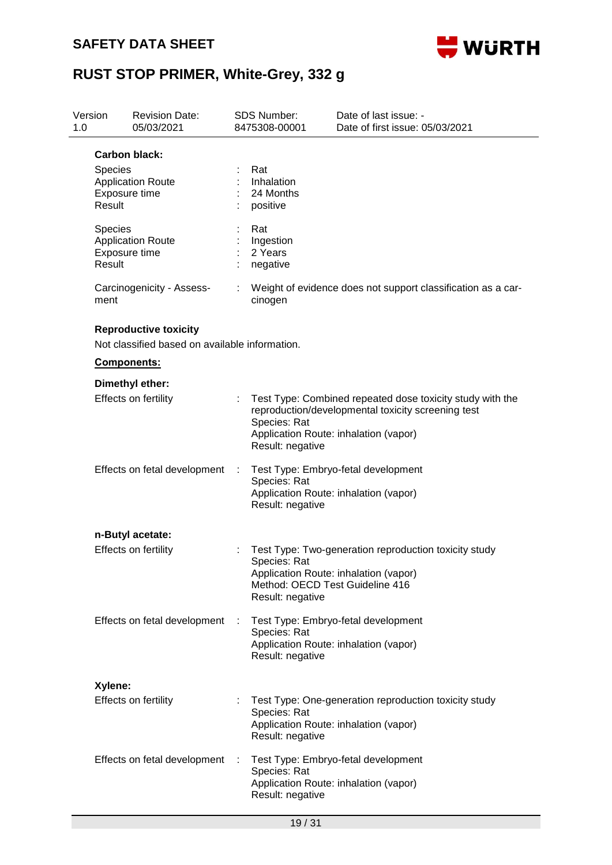

| Version<br>1.0 |                                                                                               | <b>Revision Date:</b><br>05/03/2021       |   | <b>SDS Number:</b><br>8475308-00001                                 | Date of last issue: -<br>Date of first issue: 05/03/2021                                                                                                 |
|----------------|-----------------------------------------------------------------------------------------------|-------------------------------------------|---|---------------------------------------------------------------------|----------------------------------------------------------------------------------------------------------------------------------------------------------|
|                | <b>Carbon black:</b><br><b>Species</b><br><b>Application Route</b><br>Exposure time<br>Result |                                           |   | Rat<br>Inhalation<br>24 Months<br>positive                          |                                                                                                                                                          |
|                | <b>Species</b><br>Result                                                                      | <b>Application Route</b><br>Exposure time |   | Rat<br>Ingestion<br>2 Years<br>negative                             |                                                                                                                                                          |
|                | ment                                                                                          | Carcinogenicity - Assess-                 | ÷ | cinogen                                                             | Weight of evidence does not support classification as a car-                                                                                             |
|                | <b>Reproductive toxicity</b><br>Not classified based on available information.<br>Components: |                                           |   |                                                                     |                                                                                                                                                          |
|                |                                                                                               | Dimethyl ether:<br>Effects on fertility   |   | Species: Rat<br>Result: negative                                    | Test Type: Combined repeated dose toxicity study with the<br>reproduction/developmental toxicity screening test<br>Application Route: inhalation (vapor) |
|                |                                                                                               | Effects on fetal development              |   | Species: Rat<br>Result: negative                                    | Test Type: Embryo-fetal development<br>Application Route: inhalation (vapor)                                                                             |
|                |                                                                                               | n-Butyl acetate:                          |   |                                                                     |                                                                                                                                                          |
|                |                                                                                               | Effects on fertility                      |   | Species: Rat<br>Method: OECD Test Guideline 416<br>Result: negative | Test Type: Two-generation reproduction toxicity study<br>Application Route: inhalation (vapor)                                                           |
|                |                                                                                               | Effects on fetal development              | ÷ | Species: Rat<br>Result: negative                                    | Test Type: Embryo-fetal development<br>Application Route: inhalation (vapor)                                                                             |
|                | Xylene:                                                                                       |                                           |   |                                                                     |                                                                                                                                                          |
|                |                                                                                               | Effects on fertility                      |   | Species: Rat<br>Result: negative                                    | Test Type: One-generation reproduction toxicity study<br>Application Route: inhalation (vapor)                                                           |
|                |                                                                                               | Effects on fetal development              |   | Species: Rat<br>Result: negative                                    | Test Type: Embryo-fetal development<br>Application Route: inhalation (vapor)                                                                             |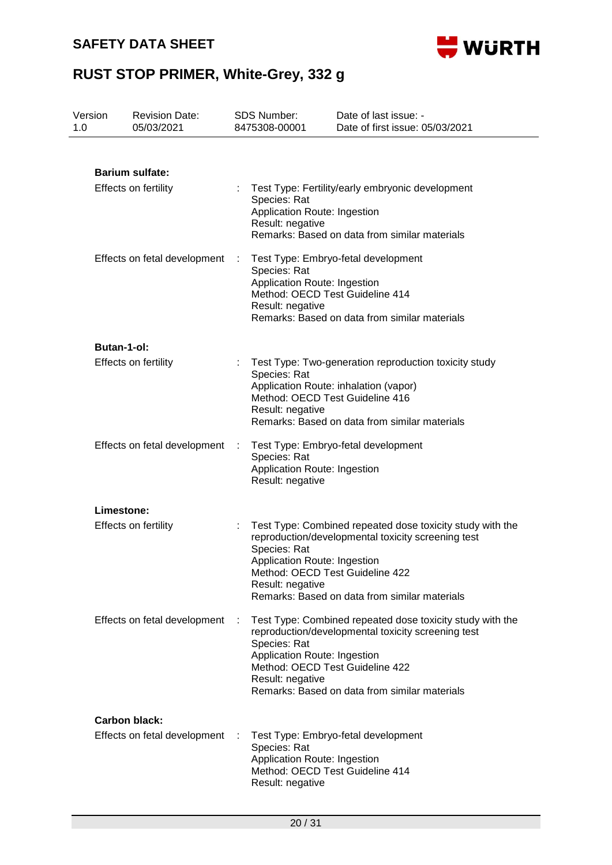

| Version<br>1.0 |                              | <b>Revision Date:</b><br>05/03/2021 |      | SDS Number:<br>8475308-00001                                                                            | Date of last issue: -<br>Date of first issue: 05/03/2021                                                                                                                                            |
|----------------|------------------------------|-------------------------------------|------|---------------------------------------------------------------------------------------------------------|-----------------------------------------------------------------------------------------------------------------------------------------------------------------------------------------------------|
|                |                              |                                     |      |                                                                                                         |                                                                                                                                                                                                     |
|                |                              | <b>Barium sulfate:</b>              |      |                                                                                                         |                                                                                                                                                                                                     |
|                | Effects on fertility         |                                     |      | Species: Rat<br>Application Route: Ingestion<br>Result: negative                                        | Test Type: Fertility/early embryonic development<br>Remarks: Based on data from similar materials                                                                                                   |
|                |                              | Effects on fetal development        |      | Species: Rat<br>Application Route: Ingestion<br>Result: negative                                        | Test Type: Embryo-fetal development<br>Method: OECD Test Guideline 414<br>Remarks: Based on data from similar materials                                                                             |
|                | <b>Butan-1-ol:</b>           |                                     |      |                                                                                                         |                                                                                                                                                                                                     |
|                |                              | <b>Effects on fertility</b>         |      | Species: Rat<br>Result: negative                                                                        | Test Type: Two-generation reproduction toxicity study<br>Application Route: inhalation (vapor)<br>Method: OECD Test Guideline 416<br>Remarks: Based on data from similar materials                  |
|                | Effects on fetal development |                                     |      | Test Type: Embryo-fetal development<br>Species: Rat<br>Application Route: Ingestion<br>Result: negative |                                                                                                                                                                                                     |
|                | Limestone:                   |                                     |      |                                                                                                         |                                                                                                                                                                                                     |
|                |                              | <b>Effects on fertility</b>         |      | Species: Rat<br>Application Route: Ingestion<br>Result: negative                                        | Test Type: Combined repeated dose toxicity study with the<br>reproduction/developmental toxicity screening test<br>Method: OECD Test Guideline 422<br>Remarks: Based on data from similar materials |
|                |                              | Effects on fetal development        | - 11 | Species: Rat<br>Application Route: Ingestion<br>Result: negative                                        | Test Type: Combined repeated dose toxicity study with the<br>reproduction/developmental toxicity screening test<br>Method: OECD Test Guideline 422<br>Remarks: Based on data from similar materials |
|                |                              | <b>Carbon black:</b>                |      |                                                                                                         |                                                                                                                                                                                                     |
|                |                              | Effects on fetal development        |      | Species: Rat<br>Application Route: Ingestion<br>Result: negative                                        | Test Type: Embryo-fetal development<br>Method: OECD Test Guideline 414                                                                                                                              |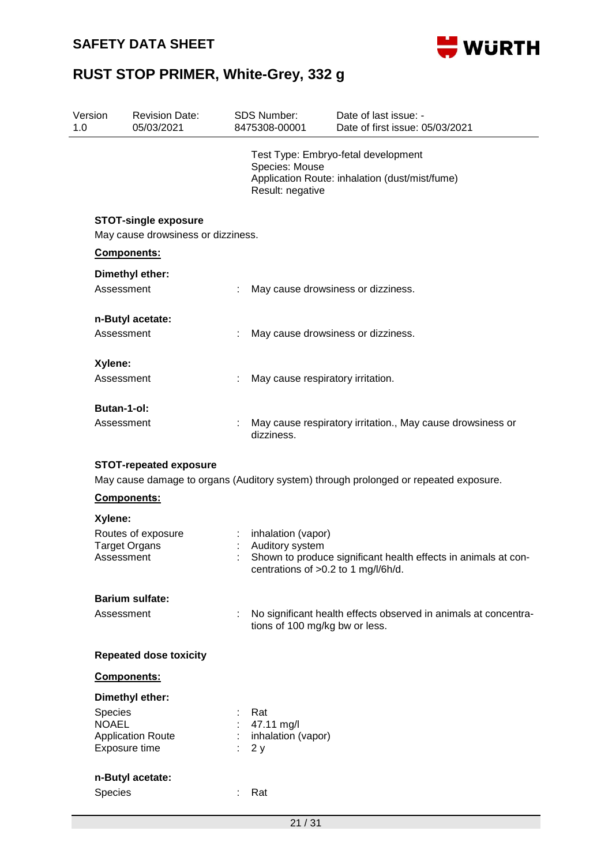

| Version<br>1.0 | <b>Revision Date:</b><br>05/03/2021 |   | SDS Number:<br>8475308-00001                           | Date of last issue: -<br>Date of first issue: 05/03/2021                              |
|----------------|-------------------------------------|---|--------------------------------------------------------|---------------------------------------------------------------------------------------|
|                |                                     |   | Species: Mouse<br>Result: negative                     | Test Type: Embryo-fetal development<br>Application Route: inhalation (dust/mist/fume) |
|                | <b>STOT-single exposure</b>         |   |                                                        |                                                                                       |
|                | May cause drowsiness or dizziness.  |   |                                                        |                                                                                       |
|                | Components:                         |   |                                                        |                                                                                       |
|                | Dimethyl ether:                     |   |                                                        |                                                                                       |
|                | Assessment                          | ÷ |                                                        | May cause drowsiness or dizziness.                                                    |
|                | n-Butyl acetate:                    |   |                                                        |                                                                                       |
|                | Assessment                          |   |                                                        | May cause drowsiness or dizziness.                                                    |
|                |                                     |   |                                                        |                                                                                       |
| Xylene:        | Assessment                          |   |                                                        |                                                                                       |
|                |                                     | ÷ | May cause respiratory irritation.                      |                                                                                       |
|                | <b>Butan-1-ol:</b>                  |   |                                                        |                                                                                       |
|                | Assessment                          |   | dizziness.                                             | May cause respiratory irritation., May cause drowsiness or                            |
|                | <b>STOT-repeated exposure</b>       |   |                                                        |                                                                                       |
|                |                                     |   |                                                        | May cause damage to organs (Auditory system) through prolonged or repeated exposure.  |
|                | Components:                         |   |                                                        |                                                                                       |
| Xylene:        |                                     |   |                                                        |                                                                                       |
|                | Routes of exposure                  |   | inhalation (vapor)                                     |                                                                                       |
|                | <b>Target Organs</b><br>Assessment  |   | Auditory system<br>centrations of >0.2 to 1 mg/l/6h/d. | Shown to produce significant health effects in animals at con-                        |
|                | <b>Barium sulfate:</b>              |   |                                                        |                                                                                       |
|                | Assessment                          | t | tions of 100 mg/kg bw or less.                         | No significant health effects observed in animals at concentra-                       |
|                | <b>Repeated dose toxicity</b>       |   |                                                        |                                                                                       |
|                | Components:                         |   |                                                        |                                                                                       |
|                | Dimethyl ether:                     |   |                                                        |                                                                                       |
| Species        |                                     |   | Rat                                                    |                                                                                       |
| <b>NOAEL</b>   | <b>Application Route</b>            |   | 47.11 mg/l<br>inhalation (vapor)                       |                                                                                       |
|                | Exposure time                       |   | 2y                                                     |                                                                                       |
|                | n-Butyl acetate:                    |   |                                                        |                                                                                       |
| Species        |                                     |   | Rat                                                    |                                                                                       |
|                |                                     |   |                                                        |                                                                                       |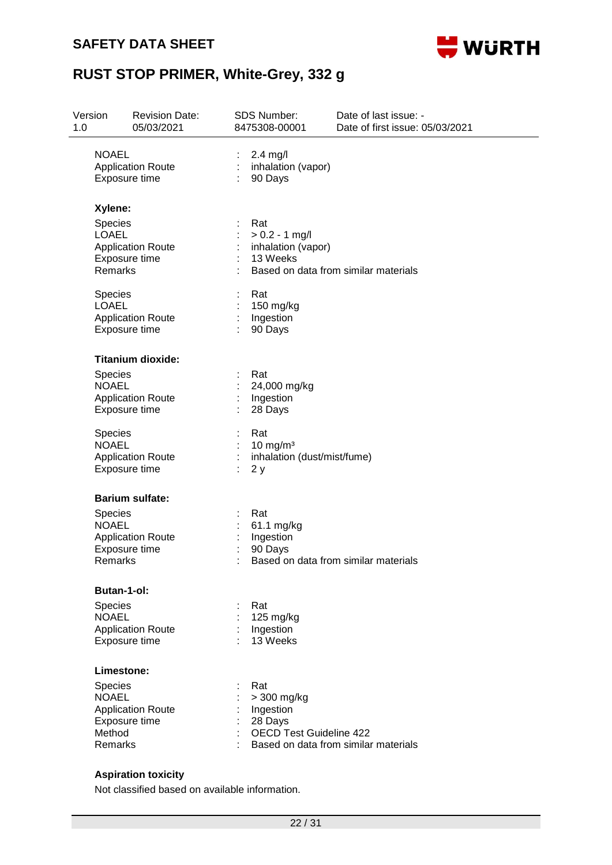#### **SAFETY DATA SHEET**



## **RUST STOP PRIMER, White-Grey, 332 g**

| Version<br>1.0                                                           | <b>Revision Date:</b><br>05/03/2021                                                    | <b>SDS Number:</b><br>8475308-00001                                                                   | Date of last issue: -<br>Date of first issue: 05/03/2021 |  |
|--------------------------------------------------------------------------|----------------------------------------------------------------------------------------|-------------------------------------------------------------------------------------------------------|----------------------------------------------------------|--|
| <b>NOAEL</b>                                                             | <b>Application Route</b><br>Exposure time                                              | $2.4$ mg/l<br>inhalation (vapor)<br>90 Days                                                           |                                                          |  |
| Xylene:<br>Species<br><b>LOAEL</b><br>Remarks<br>Species<br><b>LOAEL</b> | <b>Application Route</b><br>Exposure time<br><b>Application Route</b><br>Exposure time | Rat<br>$> 0.2 - 1$ mg/l<br>inhalation (vapor)<br>13 Weeks<br>Rat<br>150 mg/kg<br>Ingestion<br>90 Days | Based on data from similar materials                     |  |
| Species<br><b>NOAEL</b><br>Species<br><b>NOAEL</b>                       | <b>Titanium dioxide:</b><br><b>Application Route</b><br>Exposure time                  | Rat<br>24,000 mg/kg<br>Ingestion<br>28 Days<br>Rat<br>10 mg/m $3$                                     |                                                          |  |
|                                                                          | <b>Application Route</b><br>Exposure time                                              | inhalation (dust/mist/fume)<br>2y                                                                     |                                                          |  |
| <b>Species</b><br><b>NOAEL</b><br>Remarks                                | <b>Barium sulfate:</b><br><b>Application Route</b><br>Exposure time                    | Rat<br>61.1 mg/kg<br>Ingestion<br>90 Days                                                             | Based on data from similar materials                     |  |
| Species<br><b>NOAEL</b>                                                  | <b>Butan-1-ol:</b><br><b>Application Route</b><br>Exposure time                        | Rat<br>125 mg/kg<br>Ingestion<br>13 Weeks                                                             |                                                          |  |
| Species<br><b>NOAEL</b><br>Method<br>Remarks                             | Limestone:<br><b>Application Route</b><br>Exposure time                                | Rat<br>> 300 mg/kg<br>Ingestion<br>28 Days<br><b>OECD Test Guideline 422</b>                          | Based on data from similar materials                     |  |
|                                                                          | <b>Aspiration toxicity</b>                                                             |                                                                                                       |                                                          |  |

Not classified based on available information.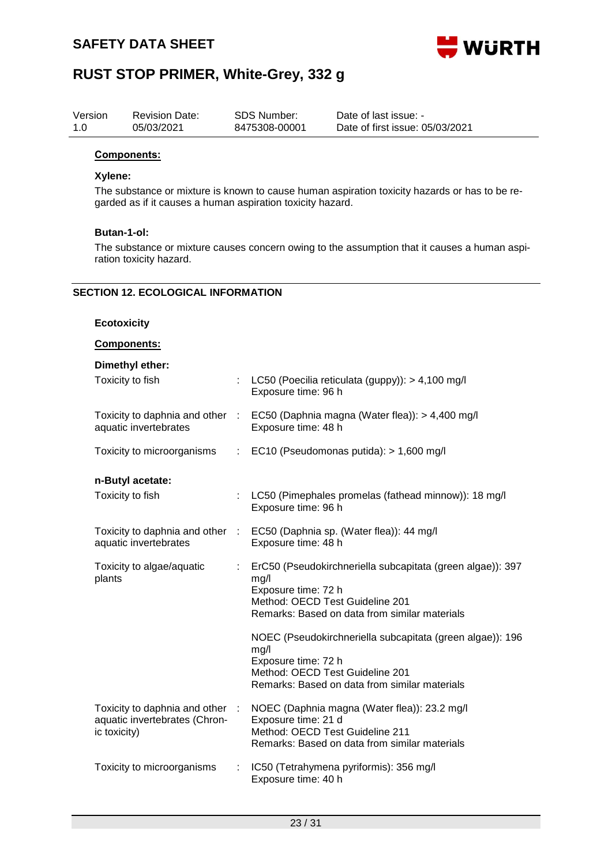

| Version | <b>Revision Date:</b> | SDS Number:   | Date of last issue: -           |
|---------|-----------------------|---------------|---------------------------------|
| 1.0     | 05/03/2021            | 8475308-00001 | Date of first issue: 05/03/2021 |

#### **Components:**

#### **Xylene:**

The substance or mixture is known to cause human aspiration toxicity hazards or has to be regarded as if it causes a human aspiration toxicity hazard.

#### **Butan-1-ol:**

The substance or mixture causes concern owing to the assumption that it causes a human aspiration toxicity hazard.

#### **SECTION 12. ECOLOGICAL INFORMATION**

#### **Ecotoxicity**

#### **Components:**

| Dimethyl ether:                                                                  |                       |                                                                                                                                                                               |
|----------------------------------------------------------------------------------|-----------------------|-------------------------------------------------------------------------------------------------------------------------------------------------------------------------------|
| Toxicity to fish                                                                 |                       | LC50 (Poecilia reticulata (guppy)): > 4,100 mg/l<br>Exposure time: 96 h                                                                                                       |
| aquatic invertebrates                                                            |                       | Toxicity to daphnia and other : EC50 (Daphnia magna (Water flea)): > 4,400 mg/l<br>Exposure time: 48 h                                                                        |
| Toxicity to microorganisms                                                       |                       | : EC10 (Pseudomonas putida): > 1,600 mg/l                                                                                                                                     |
| n-Butyl acetate:                                                                 |                       |                                                                                                                                                                               |
| Toxicity to fish                                                                 | $\mathbb{Z}^{\times}$ | LC50 (Pimephales promelas (fathead minnow)): 18 mg/l<br>Exposure time: 96 h                                                                                                   |
| aquatic invertebrates                                                            |                       | Toxicity to daphnia and other : EC50 (Daphnia sp. (Water flea)): 44 mg/l<br>Exposure time: 48 h                                                                               |
| Toxicity to algae/aquatic<br>plants                                              |                       | ErC50 (Pseudokirchneriella subcapitata (green algae)): 397<br>mg/l<br>Exposure time: 72 h<br>Method: OECD Test Guideline 201<br>Remarks: Based on data from similar materials |
|                                                                                  |                       | NOEC (Pseudokirchneriella subcapitata (green algae)): 196<br>mg/l<br>Exposure time: 72 h<br>Method: OECD Test Guideline 201<br>Remarks: Based on data from similar materials  |
| Toxicity to daphnia and other :<br>aquatic invertebrates (Chron-<br>ic toxicity) |                       | NOEC (Daphnia magna (Water flea)): 23.2 mg/l<br>Exposure time: 21 d<br>Method: OECD Test Guideline 211<br>Remarks: Based on data from similar materials                       |
| Toxicity to microorganisms                                                       | ÷                     | IC50 (Tetrahymena pyriformis): 356 mg/l<br>Exposure time: 40 h                                                                                                                |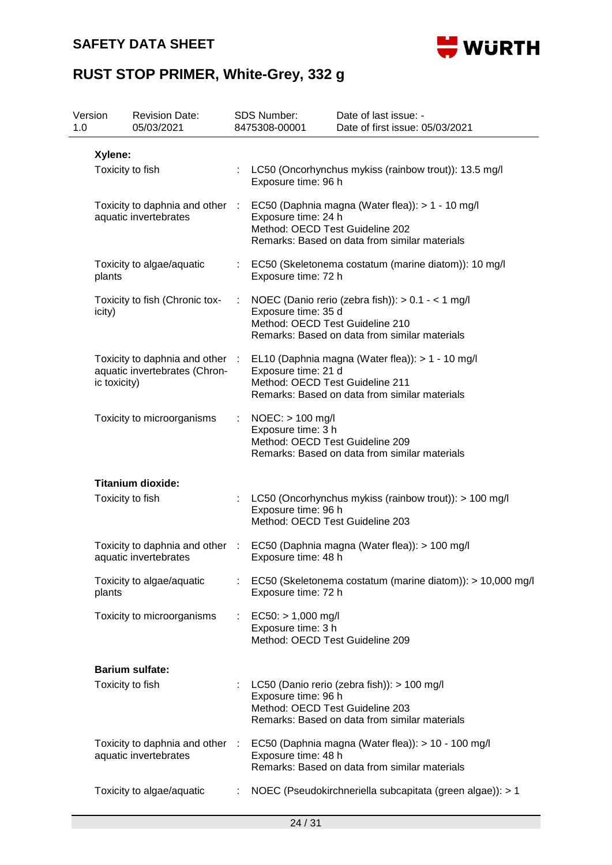

| Version<br>1.0 | <b>Revision Date:</b><br>05/03/2021                                              |   | <b>SDS Number:</b><br>8475308-00001                                           | Date of last issue: -<br>Date of first issue: 05/03/2021                                            |  |  |  |
|----------------|----------------------------------------------------------------------------------|---|-------------------------------------------------------------------------------|-----------------------------------------------------------------------------------------------------|--|--|--|
| Xylene:        |                                                                                  |   |                                                                               |                                                                                                     |  |  |  |
|                | Toxicity to fish                                                                 |   | LC50 (Oncorhynchus mykiss (rainbow trout)): 13.5 mg/l<br>Exposure time: 96 h  |                                                                                                     |  |  |  |
|                | Toxicity to daphnia and other :<br>aquatic invertebrates                         |   | Exposure time: 24 h<br>Method: OECD Test Guideline 202                        | EC50 (Daphnia magna (Water flea)): > 1 - 10 mg/l<br>Remarks: Based on data from similar materials   |  |  |  |
| plants         | Toxicity to algae/aquatic                                                        |   | Exposure time: 72 h                                                           | EC50 (Skeletonema costatum (marine diatom)): 10 mg/l                                                |  |  |  |
| icity)         | Toxicity to fish (Chronic tox-                                                   | ÷ | Exposure time: 35 d<br>Method: OECD Test Guideline 210                        | NOEC (Danio rerio (zebra fish)): > 0.1 - < 1 mg/l<br>Remarks: Based on data from similar materials  |  |  |  |
|                | Toxicity to daphnia and other :<br>aquatic invertebrates (Chron-<br>ic toxicity) |   | Exposure time: 21 d<br>Method: OECD Test Guideline 211                        | EL10 (Daphnia magna (Water flea)): > 1 - 10 mg/l<br>Remarks: Based on data from similar materials   |  |  |  |
|                | Toxicity to microorganisms                                                       |   | NOEC: > 100 mg/l<br>Exposure time: 3 h<br>Method: OECD Test Guideline 209     | Remarks: Based on data from similar materials                                                       |  |  |  |
|                | <b>Titanium dioxide:</b>                                                         |   |                                                                               |                                                                                                     |  |  |  |
|                | Toxicity to fish                                                                 |   | Exposure time: 96 h<br>Method: OECD Test Guideline 203                        | LC50 (Oncorhynchus mykiss (rainbow trout)): > 100 mg/l                                              |  |  |  |
|                | Toxicity to daphnia and other :<br>aquatic invertebrates                         |   | Exposure time: 48 h                                                           | EC50 (Daphnia magna (Water flea)): > 100 mg/l                                                       |  |  |  |
| plants         | Toxicity to algae/aquatic                                                        |   | Exposure time: 72 h                                                           | EC50 (Skeletonema costatum (marine diatom)): > 10,000 mg/l                                          |  |  |  |
|                | Toxicity to microorganisms                                                       | ÷ | $EC50: > 1,000$ mg/l<br>Exposure time: 3 h<br>Method: OECD Test Guideline 209 |                                                                                                     |  |  |  |
|                | <b>Barium sulfate:</b>                                                           |   |                                                                               |                                                                                                     |  |  |  |
|                | Toxicity to fish                                                                 |   | Exposure time: 96 h<br>Method: OECD Test Guideline 203                        | LC50 (Danio rerio (zebra fish)): > 100 mg/l<br>Remarks: Based on data from similar materials        |  |  |  |
|                | Toxicity to daphnia and other :<br>aquatic invertebrates                         |   | Exposure time: 48 h                                                           | EC50 (Daphnia magna (Water flea)): > 10 - 100 mg/l<br>Remarks: Based on data from similar materials |  |  |  |
|                | Toxicity to algae/aquatic                                                        |   |                                                                               | NOEC (Pseudokirchneriella subcapitata (green algae)): > 1                                           |  |  |  |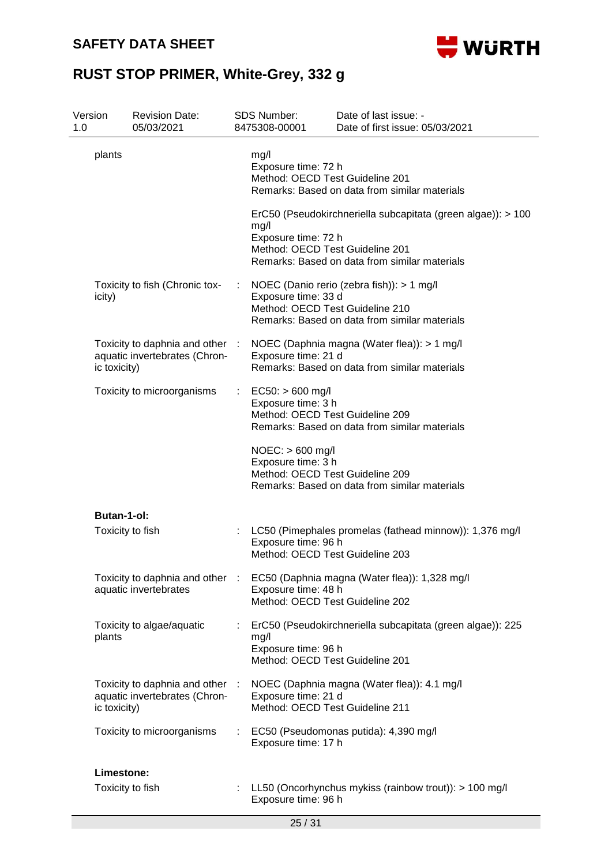

| 1.0 | Version                         | <b>Revision Date:</b><br>05/03/2021                            |        | <b>SDS Number:</b><br>8475308-00001                                                                                              | Date of last issue: -<br>Date of first issue: 05/03/2021                                                                                                       |
|-----|---------------------------------|----------------------------------------------------------------|--------|----------------------------------------------------------------------------------------------------------------------------------|----------------------------------------------------------------------------------------------------------------------------------------------------------------|
|     | plants                          |                                                                |        | mg/l<br>Exposure time: 72 h<br>Method: OECD Test Guideline 201<br>mg/l<br>Exposure time: 72 h<br>Method: OECD Test Guideline 201 | Remarks: Based on data from similar materials<br>ErC50 (Pseudokirchneriella subcapitata (green algae)): > 100<br>Remarks: Based on data from similar materials |
|     | icity)                          | Toxicity to fish (Chronic tox-                                 | ÷      | Exposure time: 33 d<br>Method: OECD Test Guideline 210                                                                           | NOEC (Danio rerio (zebra fish)): > 1 mg/l<br>Remarks: Based on data from similar materials                                                                     |
|     | ic toxicity)                    | Toxicity to daphnia and other<br>aquatic invertebrates (Chron- | $\sim$ | Exposure time: 21 d                                                                                                              | NOEC (Daphnia magna (Water flea)): > 1 mg/l<br>Remarks: Based on data from similar materials                                                                   |
|     |                                 | Toxicity to microorganisms                                     |        | $EC50:$ > 600 mg/l<br>Exposure time: 3 h<br>Method: OECD Test Guideline 209<br>$NOEC:$ > 600 mg/l<br>Exposure time: 3 h          | Remarks: Based on data from similar materials                                                                                                                  |
|     |                                 |                                                                |        | Method: OECD Test Guideline 209                                                                                                  | Remarks: Based on data from similar materials                                                                                                                  |
|     | Butan-1-ol:<br>Toxicity to fish |                                                                |        | Exposure time: 96 h<br>Method: OECD Test Guideline 203                                                                           | LC50 (Pimephales promelas (fathead minnow)): 1,376 mg/l                                                                                                        |
|     |                                 | Toxicity to daphnia and other<br>aquatic invertebrates         |        | Exposure time: 48 h<br>Method: OECD Test Guideline 202                                                                           | EC50 (Daphnia magna (Water flea)): 1,328 mg/l                                                                                                                  |
|     | plants                          | Toxicity to algae/aquatic                                      |        | mg/l<br>Exposure time: 96 h<br>Method: OECD Test Guideline 201                                                                   | ErC50 (Pseudokirchneriella subcapitata (green algae)): 225                                                                                                     |
|     | ic toxicity)                    | Toxicity to daphnia and other<br>aquatic invertebrates (Chron- | ÷      | Exposure time: 21 d<br>Method: OECD Test Guideline 211                                                                           | NOEC (Daphnia magna (Water flea)): 4.1 mg/l                                                                                                                    |
|     |                                 | Toxicity to microorganisms                                     |        | Exposure time: 17 h                                                                                                              | EC50 (Pseudomonas putida): 4,390 mg/l                                                                                                                          |
|     | Limestone:                      |                                                                |        |                                                                                                                                  |                                                                                                                                                                |
|     | Toxicity to fish                |                                                                |        | Exposure time: 96 h                                                                                                              | LL50 (Oncorhynchus mykiss (rainbow trout)): > 100 mg/l                                                                                                         |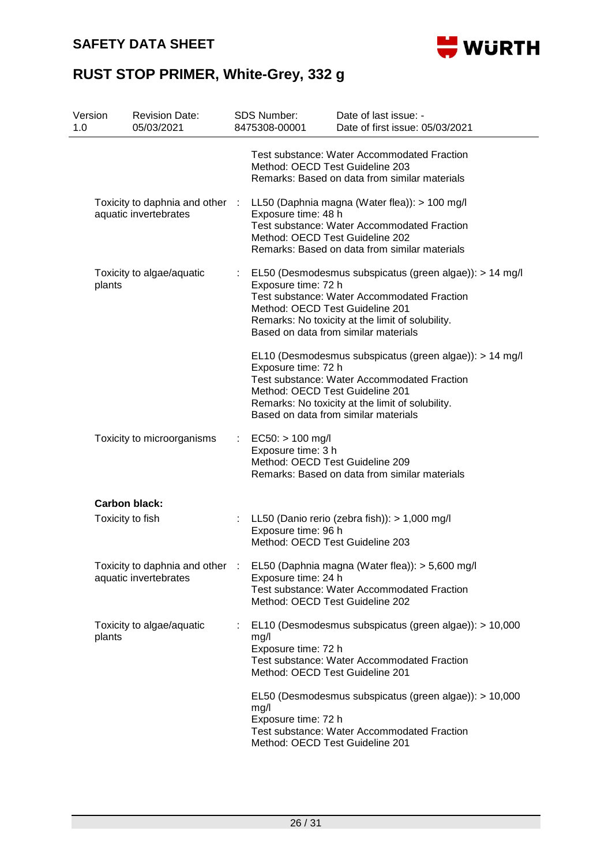

| Version<br>1.0 |                                                          | <b>Revision Date:</b><br>05/03/2021                    |    | <b>SDS Number:</b><br>8475308-00001                                                                                                                                                                     | Date of last issue: -<br>Date of first issue: 05/03/2021                                                                                                                                                  |  |  |
|----------------|----------------------------------------------------------|--------------------------------------------------------|----|---------------------------------------------------------------------------------------------------------------------------------------------------------------------------------------------------------|-----------------------------------------------------------------------------------------------------------------------------------------------------------------------------------------------------------|--|--|
|                |                                                          |                                                        |    | Test substance: Water Accommodated Fraction<br>Method: OECD Test Guideline 203<br>Remarks: Based on data from similar materials                                                                         |                                                                                                                                                                                                           |  |  |
|                | Toxicity to daphnia and other :<br>aquatic invertebrates |                                                        |    | LL50 (Daphnia magna (Water flea)): > 100 mg/l<br>Exposure time: 48 h<br>Test substance: Water Accommodated Fraction<br>Method: OECD Test Guideline 202<br>Remarks: Based on data from similar materials |                                                                                                                                                                                                           |  |  |
|                | plants                                                   | Toxicity to algae/aquatic                              |    | Exposure time: 72 h<br>Method: OECD Test Guideline 201                                                                                                                                                  | EL50 (Desmodesmus subspicatus (green algae)): > 14 mg/l<br>Test substance: Water Accommodated Fraction<br>Remarks: No toxicity at the limit of solubility.<br>Based on data from similar materials        |  |  |
|                |                                                          |                                                        |    | Exposure time: 72 h<br>Method: OECD Test Guideline 201                                                                                                                                                  | EL10 (Desmodesmus subspicatus (green algae)): > 14 mg/l<br><b>Test substance: Water Accommodated Fraction</b><br>Remarks: No toxicity at the limit of solubility.<br>Based on data from similar materials |  |  |
|                |                                                          | Toxicity to microorganisms                             | t. | $EC50:$ > 100 mg/l<br>Exposure time: 3 h<br>Method: OECD Test Guideline 209                                                                                                                             | Remarks: Based on data from similar materials                                                                                                                                                             |  |  |
|                |                                                          | <b>Carbon black:</b>                                   |    |                                                                                                                                                                                                         |                                                                                                                                                                                                           |  |  |
|                |                                                          | Toxicity to fish                                       |    | Exposure time: 96 h<br>Method: OECD Test Guideline 203                                                                                                                                                  | : LL50 (Danio rerio (zebra fish)): $> 1,000$ mg/l                                                                                                                                                         |  |  |
|                |                                                          | Toxicity to daphnia and other<br>aquatic invertebrates |    | Exposure time: 24 h<br>Method: OECD Test Guideline 202                                                                                                                                                  | EL50 (Daphnia magna (Water flea)): > 5,600 mg/l<br>Test substance: Water Accommodated Fraction                                                                                                            |  |  |
|                | plants                                                   | Toxicity to algae/aquatic                              |    | mg/l<br>Exposure time: 72 h<br>Method: OECD Test Guideline 201                                                                                                                                          | EL10 (Desmodesmus subspicatus (green algae)): > 10,000<br>Test substance: Water Accommodated Fraction                                                                                                     |  |  |
|                |                                                          |                                                        |    | mg/l<br>Exposure time: 72 h<br>Method: OECD Test Guideline 201                                                                                                                                          | EL50 (Desmodesmus subspicatus (green algae)): > 10,000<br><b>Test substance: Water Accommodated Fraction</b>                                                                                              |  |  |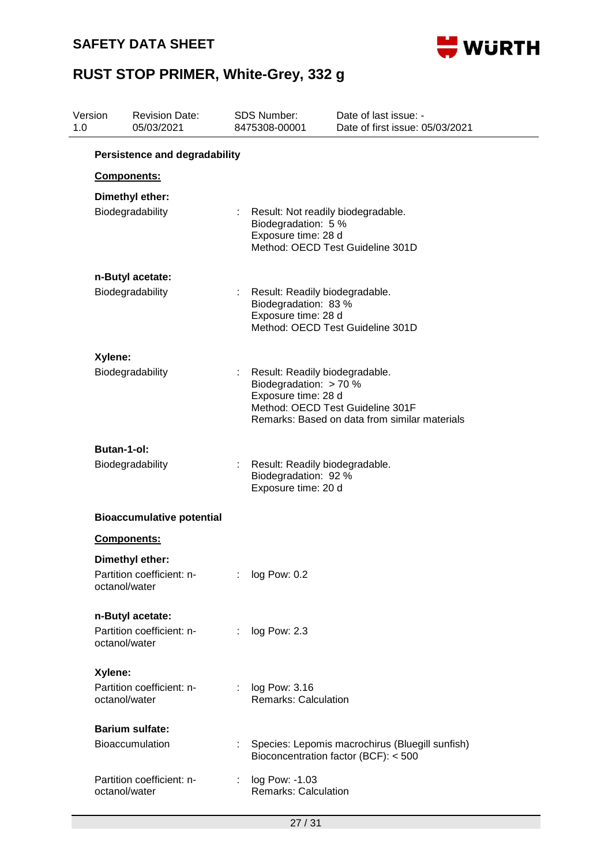

| Version<br>1.0 | <b>Revision Date:</b><br>05/03/2021                           |                                      | <b>SDS Number:</b><br>8475308-00001                                                                                                                                  | Date of last issue: -<br>Date of first issue: 05/03/2021                                |  |  |  |  |
|----------------|---------------------------------------------------------------|--------------------------------------|----------------------------------------------------------------------------------------------------------------------------------------------------------------------|-----------------------------------------------------------------------------------------|--|--|--|--|
|                |                                                               | <b>Persistence and degradability</b> |                                                                                                                                                                      |                                                                                         |  |  |  |  |
|                | Components:                                                   |                                      |                                                                                                                                                                      |                                                                                         |  |  |  |  |
|                | Dimethyl ether:<br>Biodegradability                           |                                      | Result: Not readily biodegradable.<br>Biodegradation: 5 %<br>Exposure time: 28 d<br>Method: OECD Test Guideline 301D                                                 |                                                                                         |  |  |  |  |
|                | n-Butyl acetate:                                              |                                      |                                                                                                                                                                      |                                                                                         |  |  |  |  |
|                | Biodegradability                                              |                                      | Biodegradation: 83 %<br>Exposure time: 28 d                                                                                                                          | Result: Readily biodegradable.<br>Method: OECD Test Guideline 301D                      |  |  |  |  |
|                | Xylene:                                                       |                                      |                                                                                                                                                                      |                                                                                         |  |  |  |  |
|                | Biodegradability                                              |                                      | Result: Readily biodegradable.<br>Biodegradation: > 70 %<br>Exposure time: 28 d<br>Method: OECD Test Guideline 301F<br>Remarks: Based on data from similar materials |                                                                                         |  |  |  |  |
|                | <b>Butan-1-ol:</b>                                            |                                      |                                                                                                                                                                      |                                                                                         |  |  |  |  |
|                | Biodegradability                                              |                                      | Biodegradation: 92 %<br>Exposure time: 20 d                                                                                                                          | Result: Readily biodegradable.                                                          |  |  |  |  |
|                | <b>Bioaccumulative potential</b>                              |                                      |                                                                                                                                                                      |                                                                                         |  |  |  |  |
|                | Components:                                                   |                                      |                                                                                                                                                                      |                                                                                         |  |  |  |  |
|                | Dimethyl ether:<br>Partition coefficient: n-<br>octanol/water |                                      | log Pow: 0.2                                                                                                                                                         |                                                                                         |  |  |  |  |
|                | n-Butyl acetate:                                              |                                      |                                                                                                                                                                      |                                                                                         |  |  |  |  |
|                | Partition coefficient: n-<br>octanol/water                    |                                      | log Pow: 2.3                                                                                                                                                         |                                                                                         |  |  |  |  |
|                | Xylene:                                                       |                                      |                                                                                                                                                                      |                                                                                         |  |  |  |  |
|                | Partition coefficient: n-<br>octanol/water                    |                                      | log Pow: 3.16<br><b>Remarks: Calculation</b>                                                                                                                         |                                                                                         |  |  |  |  |
|                | <b>Barium sulfate:</b>                                        |                                      |                                                                                                                                                                      |                                                                                         |  |  |  |  |
|                | <b>Bioaccumulation</b>                                        |                                      |                                                                                                                                                                      | Species: Lepomis macrochirus (Bluegill sunfish)<br>Bioconcentration factor (BCF): < 500 |  |  |  |  |
|                | Partition coefficient: n-<br>octanol/water                    |                                      | log Pow: -1.03<br><b>Remarks: Calculation</b>                                                                                                                        |                                                                                         |  |  |  |  |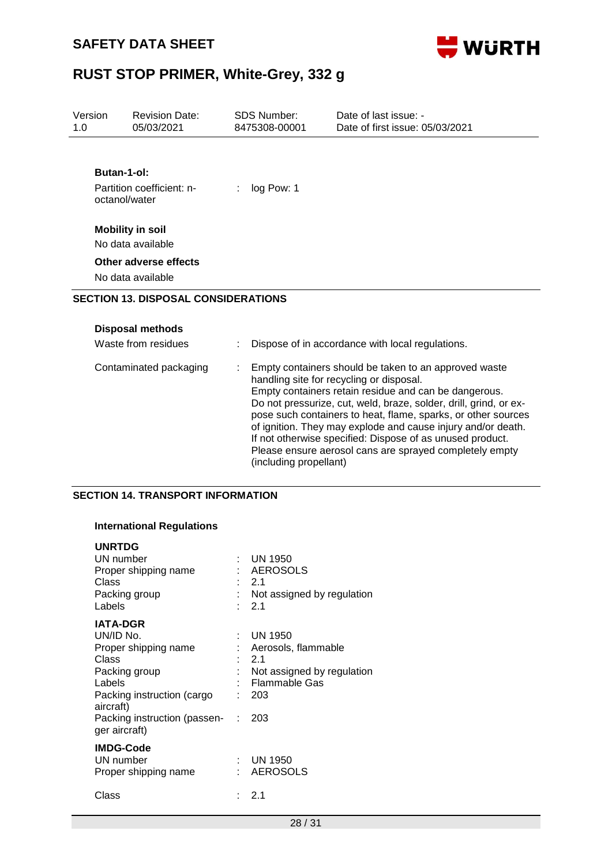

| Version<br>1.0 | <b>Revision Date:</b><br>05/03/2021                       | <b>SDS Number:</b><br>8475308-00001 | Date of last issue: -<br>Date of first issue: 05/03/2021                                                                                                                                                                                                                                                                                                                                                                                                                                 |
|----------------|-----------------------------------------------------------|-------------------------------------|------------------------------------------------------------------------------------------------------------------------------------------------------------------------------------------------------------------------------------------------------------------------------------------------------------------------------------------------------------------------------------------------------------------------------------------------------------------------------------------|
|                | Butan-1-ol:<br>Partition coefficient: n-<br>octanol/water | log Pow: 1                          |                                                                                                                                                                                                                                                                                                                                                                                                                                                                                          |
|                | <b>Mobility in soil</b><br>No data available              |                                     |                                                                                                                                                                                                                                                                                                                                                                                                                                                                                          |
|                | Other adverse effects<br>No data available                |                                     |                                                                                                                                                                                                                                                                                                                                                                                                                                                                                          |
|                | <b>SECTION 13. DISPOSAL CONSIDERATIONS</b>                |                                     |                                                                                                                                                                                                                                                                                                                                                                                                                                                                                          |
|                | <b>Disposal methods</b><br>Waste from residues            |                                     | Dispose of in accordance with local regulations.                                                                                                                                                                                                                                                                                                                                                                                                                                         |
|                | Contaminated packaging                                    |                                     | Empty containers should be taken to an approved waste<br>handling site for recycling or disposal.<br>Empty containers retain residue and can be dangerous.<br>Do not pressurize, cut, weld, braze, solder, drill, grind, or ex-<br>pose such containers to heat, flame, sparks, or other sources<br>of ignition. They may explode and cause injury and/or death.<br>If not otherwise specified: Dispose of as unused product.<br>Please ensure aerosol cans are sprayed completely empty |

(including propellant)

#### **SECTION 14. TRANSPORT INFORMATION**

#### **International Regulations**

| <b>UNRTDG</b><br>UN number<br>Proper shipping name<br>Class<br>Packing group<br>Labels                                              | ٠. | <b>UN 1950</b><br><b>AEROSOLS</b><br>- 2.1<br>Not assigned by regulation<br>2.1                |
|-------------------------------------------------------------------------------------------------------------------------------------|----|------------------------------------------------------------------------------------------------|
| <b>IATA-DGR</b><br>UN/ID No.<br>Proper shipping name<br>Class<br>Packing group<br>Labels<br>Packing instruction (cargo<br>aircraft) |    | UN 1950<br>Aerosols, flammable<br>$-2.1$<br>Not assigned by regulation<br>Flammable Gas<br>203 |
| Packing instruction (passen-<br>ger aircraft)                                                                                       | ÷  | 203                                                                                            |
| <b>IMDG-Code</b><br>UN number<br>Proper shipping name                                                                               | ÷  | <b>UN 1950</b><br><b>AEROSOLS</b>                                                              |
| Class                                                                                                                               |    | 2.1                                                                                            |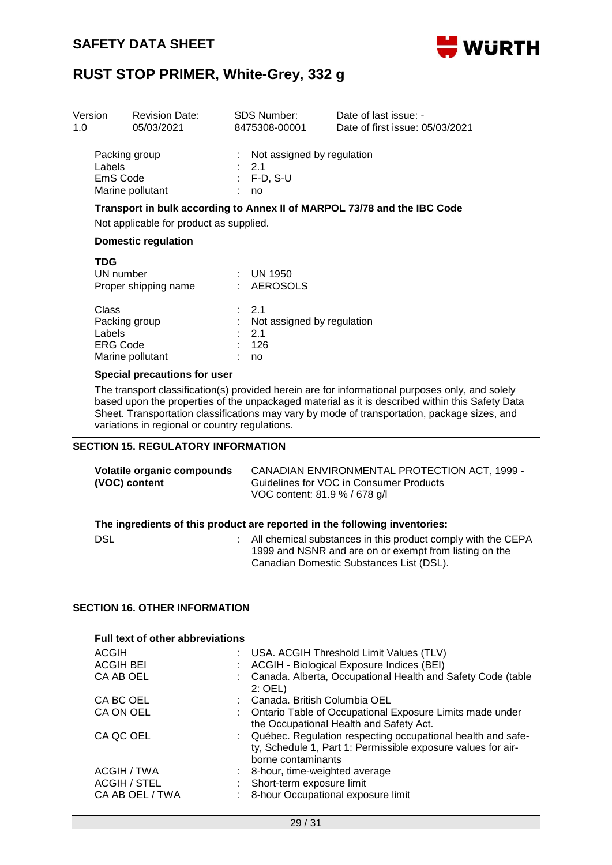

| Version<br>1.0                                                                                                                    |                                                                                                                                                                                                                                                                                                                                                      | <b>Revision Date:</b><br>05/03/2021       |                                                                                     | SDS Number:<br>8475308-00001                          | Date of last issue: -<br>Date of first issue: 05/03/2021 |
|-----------------------------------------------------------------------------------------------------------------------------------|------------------------------------------------------------------------------------------------------------------------------------------------------------------------------------------------------------------------------------------------------------------------------------------------------------------------------------------------------|-------------------------------------------|-------------------------------------------------------------------------------------|-------------------------------------------------------|----------------------------------------------------------|
|                                                                                                                                   | Packing group<br>Labels<br>EmS Code<br>Marine pollutant                                                                                                                                                                                                                                                                                              |                                           | ÷                                                                                   | Not assigned by regulation<br>2.1<br>$F-D, S-U$<br>no |                                                          |
|                                                                                                                                   | Transport in bulk according to Annex II of MARPOL 73/78 and the IBC Code<br>Not applicable for product as supplied.                                                                                                                                                                                                                                  |                                           |                                                                                     |                                                       |                                                          |
| <b>Domestic regulation</b>                                                                                                        |                                                                                                                                                                                                                                                                                                                                                      |                                           |                                                                                     |                                                       |                                                          |
| <b>TDG</b><br>UN number<br>Proper shipping name<br><b>Class</b><br>Packing group<br>Labels<br><b>ERG Code</b><br>Marine pollutant |                                                                                                                                                                                                                                                                                                                                                      |                                           | <b>UN 1950</b><br>AEROSOLS<br>2.1<br>Not assigned by regulation<br>2.1<br>126<br>no |                                                       |                                                          |
|                                                                                                                                   | Special precautions for user                                                                                                                                                                                                                                                                                                                         |                                           |                                                                                     |                                                       |                                                          |
|                                                                                                                                   | The transport classification(s) provided herein are for informational purposes only, and solely<br>based upon the properties of the unpackaged material as it is described within this Safety Data<br>Sheet. Transportation classifications may vary by mode of transportation, package sizes, and<br>variations in regional or country regulations. |                                           |                                                                                     |                                                       |                                                          |
|                                                                                                                                   |                                                                                                                                                                                                                                                                                                                                                      | <b>SECTION 15. REGULATORY INFORMATION</b> |                                                                                     |                                                       |                                                          |

#### **Volatile organic compounds (VOC) content** CANADIAN ENVIRONMENTAL PROTECTION ACT, 1999 - Guidelines for VOC in Consumer Products VOC content: 81.9 % / 678 g/l **The ingredients of this product are reported in the following inventories:** DSL **DISL** : All chemical substances in this product comply with the CEPA 1999 and NSNR and are on or exempt from listing on the Canadian Domestic Substances List (DSL).

#### **SECTION 16. OTHER INFORMATION**

| <b>Full text of other abbreviations</b> |  |                                                                                                                                                     |  |  |  |
|-----------------------------------------|--|-----------------------------------------------------------------------------------------------------------------------------------------------------|--|--|--|
| ACGIH                                   |  | : USA. ACGIH Threshold Limit Values (TLV)                                                                                                           |  |  |  |
| <b>ACGIH BEI</b>                        |  | ACGIH - Biological Exposure Indices (BEI)                                                                                                           |  |  |  |
| CA AB OEL                               |  | : Canada. Alberta, Occupational Health and Safety Code (table<br>$2:$ OEL)                                                                          |  |  |  |
| CA BC OEL                               |  | : Canada. British Columbia OEL                                                                                                                      |  |  |  |
| CA ON OEL                               |  | : Ontario Table of Occupational Exposure Limits made under<br>the Occupational Health and Safety Act.                                               |  |  |  |
| CA QC OEL                               |  | : Québec. Regulation respecting occupational health and safe-<br>ty, Schedule 1, Part 1: Permissible exposure values for air-<br>borne contaminants |  |  |  |
| ACGIH / TWA                             |  | : 8-hour, time-weighted average                                                                                                                     |  |  |  |
| <b>ACGIH / STEL</b>                     |  | Short-term exposure limit                                                                                                                           |  |  |  |
| CA AB OEL / TWA                         |  | 8-hour Occupational exposure limit                                                                                                                  |  |  |  |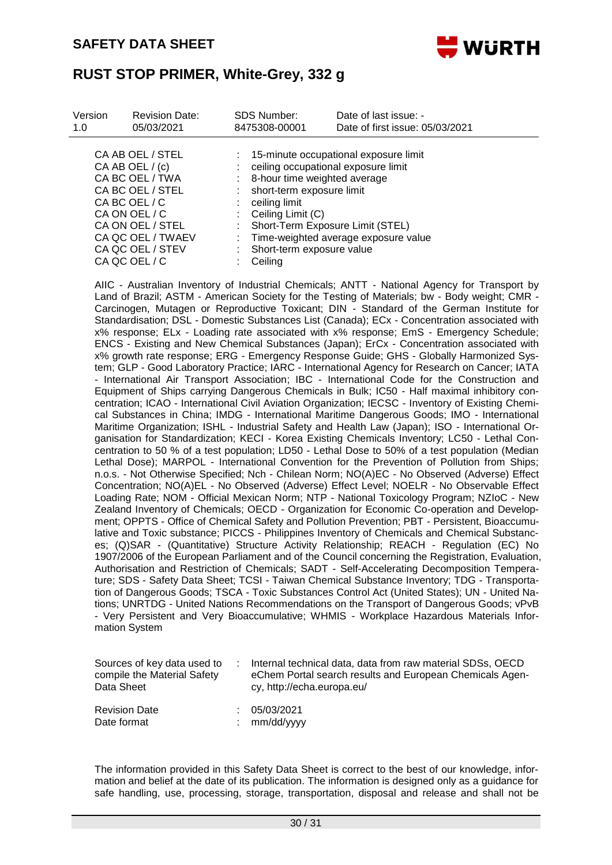

| CA AB OEL / STEL<br>: 15-minute occupational exposure limit<br>: ceiling occupational exposure limit<br>CA AB OEL / (c)<br>CA BC OEL / TWA<br>: 8-hour time weighted average<br>CA BC OEL / STEL<br>: short-term exposure limit<br>CA BC OEL / C<br>$:$ ceiling limit<br>CA ON OEL / C<br>: Ceiling Limit $(C)$<br>CA ON OEL / STEL<br>: Short-Term Exposure Limit (STEL)<br>CA QC OEL / TWAEV<br>Time-weighted average exposure value<br>CA QC OEL / STEV<br>: Short-term exposure value<br>CA QC OEL / C | Version<br>1.0 | <b>Revision Date:</b><br>05/03/2021 | <b>SDS Number:</b><br>8475308-00001 | Date of last issue: -<br>Date of first issue: 05/03/2021 |
|------------------------------------------------------------------------------------------------------------------------------------------------------------------------------------------------------------------------------------------------------------------------------------------------------------------------------------------------------------------------------------------------------------------------------------------------------------------------------------------------------------|----------------|-------------------------------------|-------------------------------------|----------------------------------------------------------|
|                                                                                                                                                                                                                                                                                                                                                                                                                                                                                                            |                |                                     | Ceiling                             |                                                          |

AIIC - Australian Inventory of Industrial Chemicals; ANTT - National Agency for Transport by Land of Brazil; ASTM - American Society for the Testing of Materials; bw - Body weight; CMR - Carcinogen, Mutagen or Reproductive Toxicant; DIN - Standard of the German Institute for Standardisation; DSL - Domestic Substances List (Canada); ECx - Concentration associated with x% response; ELx - Loading rate associated with x% response; EmS - Emergency Schedule; ENCS - Existing and New Chemical Substances (Japan); ErCx - Concentration associated with x% growth rate response; ERG - Emergency Response Guide; GHS - Globally Harmonized System; GLP - Good Laboratory Practice; IARC - International Agency for Research on Cancer; IATA - International Air Transport Association; IBC - International Code for the Construction and Equipment of Ships carrying Dangerous Chemicals in Bulk; IC50 - Half maximal inhibitory concentration; ICAO - International Civil Aviation Organization; IECSC - Inventory of Existing Chemical Substances in China; IMDG - International Maritime Dangerous Goods; IMO - International Maritime Organization; ISHL - Industrial Safety and Health Law (Japan); ISO - International Organisation for Standardization; KECI - Korea Existing Chemicals Inventory; LC50 - Lethal Concentration to 50 % of a test population; LD50 - Lethal Dose to 50% of a test population (Median Lethal Dose); MARPOL - International Convention for the Prevention of Pollution from Ships; n.o.s. - Not Otherwise Specified; Nch - Chilean Norm; NO(A)EC - No Observed (Adverse) Effect Concentration; NO(A)EL - No Observed (Adverse) Effect Level; NOELR - No Observable Effect Loading Rate; NOM - Official Mexican Norm; NTP - National Toxicology Program; NZIoC - New Zealand Inventory of Chemicals; OECD - Organization for Economic Co-operation and Development; OPPTS - Office of Chemical Safety and Pollution Prevention; PBT - Persistent, Bioaccumulative and Toxic substance; PICCS - Philippines Inventory of Chemicals and Chemical Substances; (Q)SAR - (Quantitative) Structure Activity Relationship; REACH - Regulation (EC) No 1907/2006 of the European Parliament and of the Council concerning the Registration, Evaluation, Authorisation and Restriction of Chemicals; SADT - Self-Accelerating Decomposition Temperature; SDS - Safety Data Sheet; TCSI - Taiwan Chemical Substance Inventory; TDG - Transportation of Dangerous Goods; TSCA - Toxic Substances Control Act (United States); UN - United Nations; UNRTDG - United Nations Recommendations on the Transport of Dangerous Goods; vPvB - Very Persistent and Very Bioaccumulative; WHMIS - Workplace Hazardous Materials Information System

| Sources of key data used to<br>compile the Material Safety<br>Data Sheet | Internal technical data, data from raw material SDSs, OECD<br>eChem Portal search results and European Chemicals Agen-<br>cy, http://echa.europa.eu/ |
|--------------------------------------------------------------------------|------------------------------------------------------------------------------------------------------------------------------------------------------|
| <b>Revision Date</b><br>Date format                                      | 05/03/2021<br>mm/dd/yyyy                                                                                                                             |

The information provided in this Safety Data Sheet is correct to the best of our knowledge, information and belief at the date of its publication. The information is designed only as a guidance for safe handling, use, processing, storage, transportation, disposal and release and shall not be